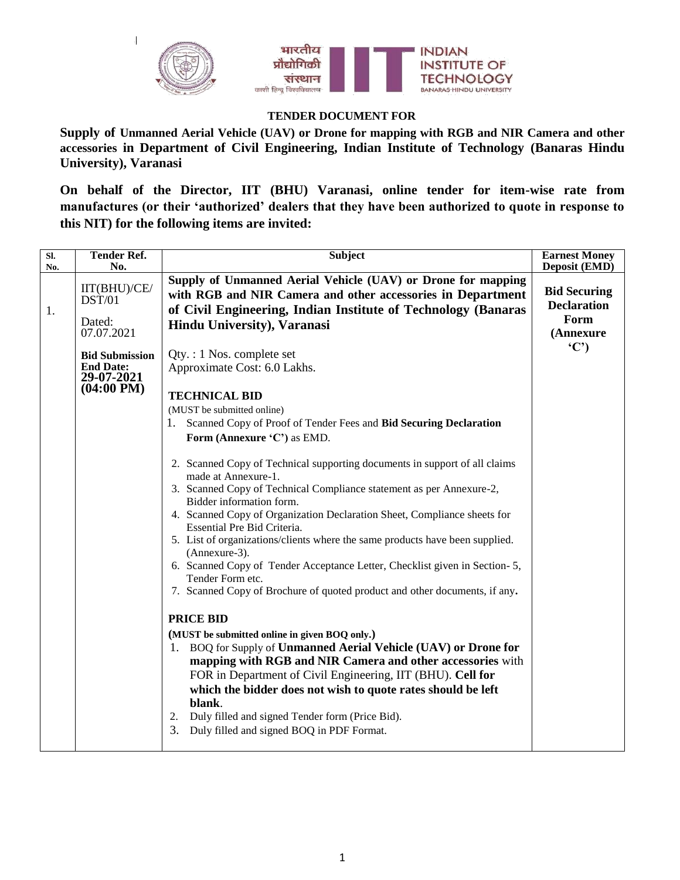

## **TENDER DOCUMENT FOR**

**Supply of Unmanned Aerial Vehicle (UAV) or Drone for mapping with RGB and NIR Camera and other accessories in Department of Civil Engineering, Indian Institute of Technology (Banaras Hindu University), Varanasi**

**On behalf of the Director, IIT (BHU) Varanasi, online tender for item-wise rate from manufactures (or their "authorized" dealers that they have been authorized to quote in response to this NIT) for the following items are invited:**

| $\overline{\text{SL}}$ | <b>Tender Ref.</b>             | <b>Subject</b>                                                                                          | <b>Earnest Money</b> |
|------------------------|--------------------------------|---------------------------------------------------------------------------------------------------------|----------------------|
| No.                    | No.                            |                                                                                                         | Deposit (EMD)        |
|                        | IIT(BHU)/CE/                   | Supply of Unmanned Aerial Vehicle (UAV) or Drone for mapping                                            | <b>Bid Securing</b>  |
|                        | DST/01                         | with RGB and NIR Camera and other accessories in Department                                             | <b>Declaration</b>   |
| 1.                     |                                | of Civil Engineering, Indian Institute of Technology (Banaras                                           | Form                 |
|                        | Dated:<br>07.07.2021           | <b>Hindu University), Varanasi</b>                                                                      | (Annexure            |
|                        |                                |                                                                                                         | (C')                 |
|                        | <b>Bid Submission</b>          | $Qty. : 1$ Nos. complete set                                                                            |                      |
|                        | <b>End Date:</b><br>29-07-2021 | Approximate Cost: 6.0 Lakhs.                                                                            |                      |
|                        | $(04:00 \text{ PM})$           |                                                                                                         |                      |
|                        |                                | <b>TECHNICAL BID</b>                                                                                    |                      |
|                        |                                | (MUST be submitted online)                                                                              |                      |
|                        |                                | Scanned Copy of Proof of Tender Fees and Bid Securing Declaration                                       |                      |
|                        |                                | Form (Annexure 'C') as EMD.                                                                             |                      |
|                        |                                | 2. Scanned Copy of Technical supporting documents in support of all claims                              |                      |
|                        |                                | made at Annexure-1.                                                                                     |                      |
|                        |                                | 3. Scanned Copy of Technical Compliance statement as per Annexure-2,                                    |                      |
|                        |                                | Bidder information form.                                                                                |                      |
|                        |                                | 4. Scanned Copy of Organization Declaration Sheet, Compliance sheets for<br>Essential Pre Bid Criteria. |                      |
|                        |                                | 5. List of organizations/clients where the same products have been supplied.<br>(Annexure-3).           |                      |
|                        |                                | 6. Scanned Copy of Tender Acceptance Letter, Checklist given in Section-5,<br>Tender Form etc.          |                      |
|                        |                                | 7. Scanned Copy of Brochure of quoted product and other documents, if any.                              |                      |
|                        |                                |                                                                                                         |                      |
|                        |                                | <b>PRICE BID</b>                                                                                        |                      |
|                        |                                | (MUST be submitted online in given BOQ only.)                                                           |                      |
|                        |                                | 1. BOQ for Supply of Unmanned Aerial Vehicle (UAV) or Drone for                                         |                      |
|                        |                                | mapping with RGB and NIR Camera and other accessories with                                              |                      |
|                        |                                | FOR in Department of Civil Engineering, IIT (BHU). Cell for                                             |                      |
|                        |                                | which the bidder does not wish to quote rates should be left                                            |                      |
|                        |                                | blank.                                                                                                  |                      |
|                        |                                | Duly filled and signed Tender form (Price Bid).<br>2.                                                   |                      |
|                        |                                | 3.<br>Duly filled and signed BOQ in PDF Format.                                                         |                      |
|                        |                                |                                                                                                         |                      |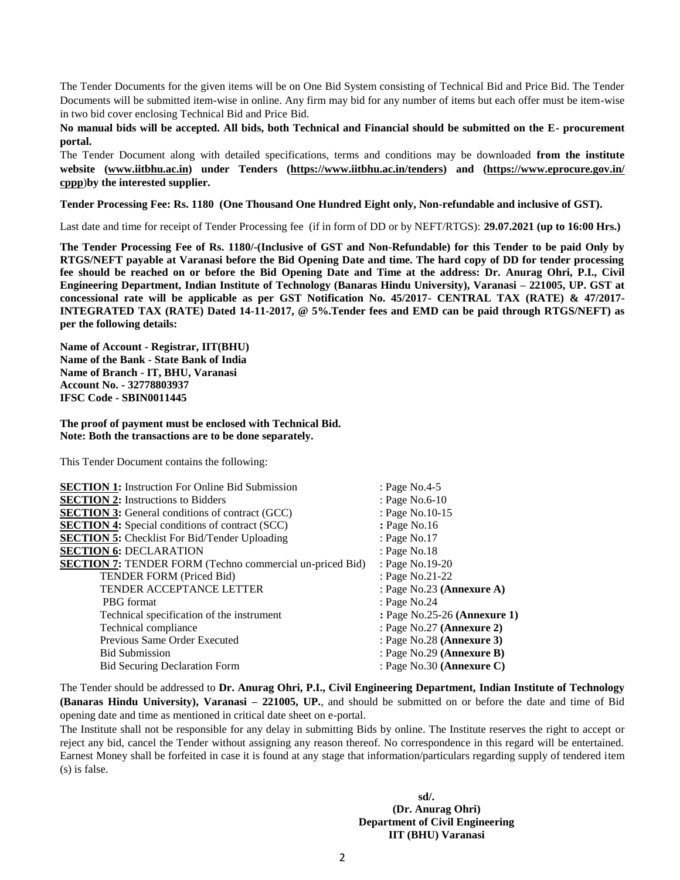The Tender Documents for the given items will be on One Bid System consisting of Technical Bid and Price Bid. The Tender Documents will be submitted item-wise in online. Any firm may bid for any number of items but each offer must be item-wise in two bid cover enclosing Technical Bid and Price Bid.

**No manual bids will be accepted. All bids, both Technical and Financial should be submitted on the E- procurement portal.**

The Tender Document along with detailed specifications, terms and conditions may be downloaded **from the institute website [\(www.iitbhu.ac.in\)](http://www.iitbhu.ac.in/) under Tenders [\(https://www.iitbhu.ac.in/tenders\)](https://www.iitbhu.ac.in/tenders) and [\(https://www.eprocure.gov.in/](https://www.eprocure.gov.in/%20cppp)  [cppp](https://www.eprocure.gov.in/%20cppp)**)**by the interested supplier.**

**Tender Processing Fee: Rs. 1180 (One Thousand One Hundred Eight only, Non-refundable and inclusive of GST).**

Last date and time for receipt of Tender Processing fee (if in form of DD or by NEFT/RTGS): **29.07.2021 (up to 16:00 Hrs.)**

**The Tender Processing Fee of Rs. 1180/-(Inclusive of GST and Non-Refundable) for this Tender to be paid Only by RTGS/NEFT payable at Varanasi before the Bid Opening Date and time. The hard copy of DD for tender processing fee should be reached on or before the Bid Opening Date and Time at the address: Dr. Anurag Ohri, P.I., Civil Engineering Department, Indian Institute of Technology (Banaras Hindu University), Varanasi – 221005, UP. GST at concessional rate will be applicable as per GST Notification No. 45/2017- CENTRAL TAX (RATE) & 47/2017- INTEGRATED TAX (RATE) Dated 14-11-2017, @ 5%.Tender fees and EMD can be paid through RTGS/NEFT) as per the following details:** 

**Name of Account - Registrar, IIT(BHU) Name of the Bank - State Bank of India Name of Branch - IT, BHU, Varanasi Account No. - 32778803937 IFSC Code - SBIN0011445** 

**The proof of payment must be enclosed with Technical Bid. Note: Both the transactions are to be done separately.**

This Tender Document contains the following:

| <b>SECTION 1:</b> Instruction For Online Bid Submission         | : Page No.4-5                |
|-----------------------------------------------------------------|------------------------------|
| <b>SECTION 2:</b> Instructions to Bidders                       | : Page No.6-10               |
| <b>SECTION 3:</b> General conditions of contract (GCC)          | : Page No.10-15              |
| <b>SECTION 4:</b> Special conditions of contract (SCC)          | : Page No.16                 |
| <b>SECTION 5:</b> Checklist For Bid/Tender Uploading            | : Page No.17                 |
| <b>SECTION 6: DECLARATION</b>                                   | : Page No.18                 |
| <b>SECTION 7:</b> TENDER FORM (Techno commercial un-priced Bid) | : Page No.19-20              |
| <b>TENDER FORM (Priced Bid)</b>                                 | : Page No.21-22              |
| <b>TENDER ACCEPTANCE LETTER</b>                                 | : Page No.23 (Annexure A)    |
| PBG format                                                      | : Page No.24                 |
| Technical specification of the instrument                       | : Page No.25-26 (Annexure 1) |
| Technical compliance                                            | : Page No.27 (Annexure 2)    |
| Previous Same Order Executed                                    | : Page No.28 (Annexure 3)    |
| <b>Bid Submission</b>                                           | : Page No.29 (Annexure B)    |
| <b>Bid Securing Declaration Form</b>                            | : Page No.30 (Annexure C)    |
|                                                                 |                              |

The Tender should be addressed to **Dr. Anurag Ohri, P.I., Civil Engineering Department, Indian Institute of Technology (Banaras Hindu University), Varanasi – 221005, UP.**, and should be submitted on or before the date and time of Bid opening date and time as mentioned in critical date sheet on e-portal.

The Institute shall not be responsible for any delay in submitting Bids by online. The Institute reserves the right to accept or reject any bid, cancel the Tender without assigning any reason thereof. No correspondence in this regard will be entertained. Earnest Money shall be forfeited in case it is found at any stage that information/particulars regarding supply of tendered item (s) is false.

 **sd/. (Dr. Anurag Ohri) Department of Civil Engineering IIT (BHU) Varanasi**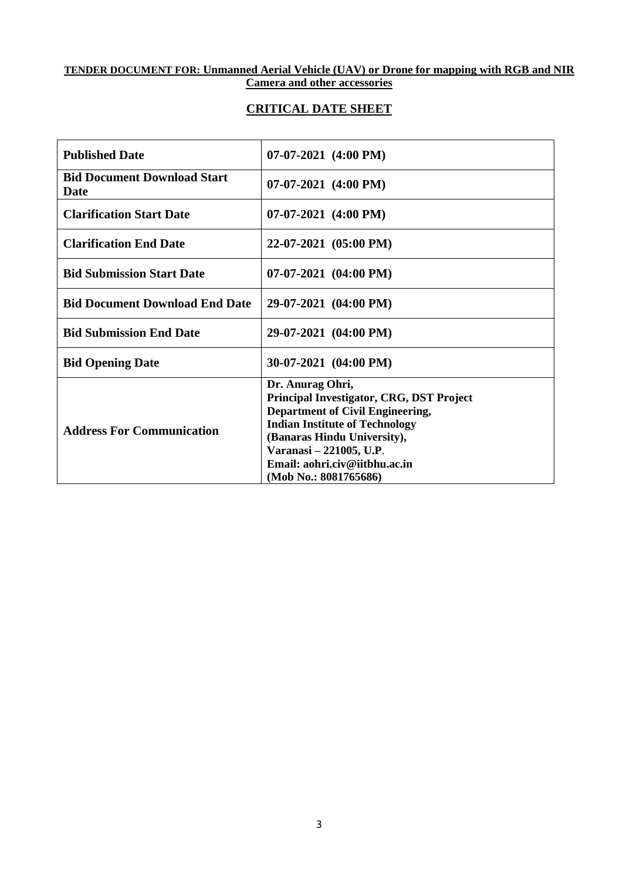## **TENDER DOCUMENT FOR: Unmanned Aerial Vehicle (UAV) or Drone for mapping with RGB and NIR Camera and other accessories**

## **CRITICAL DATE SHEET**

| <b>Published Date</b>                             | $07-07-2021$ (4:00 PM)                                                                                                                                                                                                                                            |
|---------------------------------------------------|-------------------------------------------------------------------------------------------------------------------------------------------------------------------------------------------------------------------------------------------------------------------|
| <b>Bid Document Download Start</b><br><b>Date</b> | $07-07-2021$ $(4:00 \text{ PM})$                                                                                                                                                                                                                                  |
| <b>Clarification Start Date</b>                   | $07-07-2021$ (4:00 PM)                                                                                                                                                                                                                                            |
| <b>Clarification End Date</b>                     | 22-07-2021 (05:00 PM)                                                                                                                                                                                                                                             |
| <b>Bid Submission Start Date</b>                  | $07-07-2021$ $(04:00 \text{ PM})$                                                                                                                                                                                                                                 |
| <b>Bid Document Download End Date</b>             | 29-07-2021 (04:00 PM)                                                                                                                                                                                                                                             |
| <b>Bid Submission End Date</b>                    | 29-07-2021 (04:00 PM)                                                                                                                                                                                                                                             |
| <b>Bid Opening Date</b>                           | $30-07-2021$ (04:00 PM)                                                                                                                                                                                                                                           |
| <b>Address For Communication</b>                  | Dr. Anurag Ohri,<br>Principal Investigator, CRG, DST Project<br>Department of Civil Engineering,<br><b>Indian Institute of Technology</b><br>(Banaras Hindu University),<br>Varanasi – 221005, U.P.<br>Email: aohri.civ@iitbhu.ac.in<br>$(Mob$ No.: $8081765686)$ |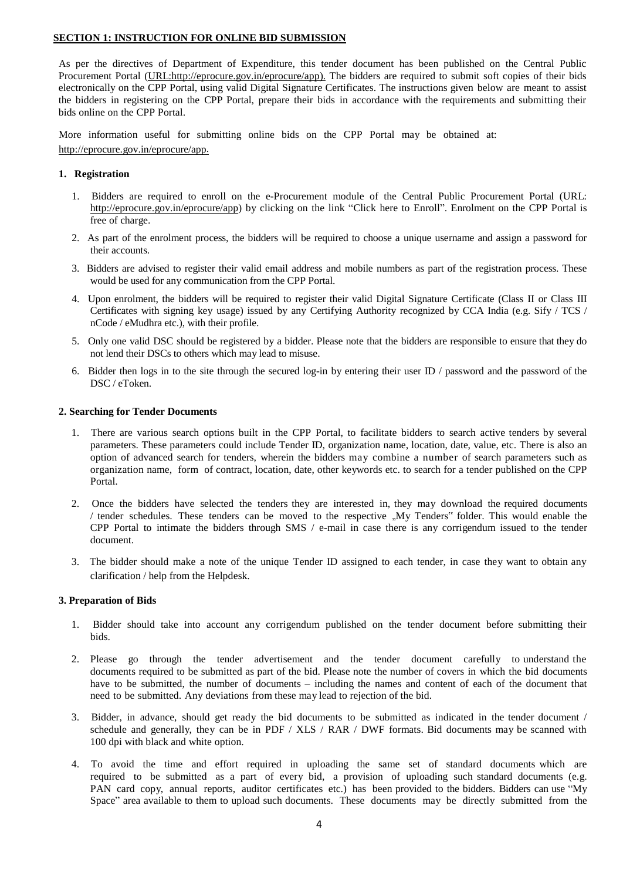#### **SECTION 1: INSTRUCTION FOR ONLINE BID SUBMISSION**

As per the directives of Department of Expenditure, this tender document has been published on the Central Public Procurement Portal [\(URL:http://eprocure.gov.in/eprocure/app\)](http://eprocure.gov.in/eprocure/app). The bidders are required to submit soft copies of their bids electronically on the CPP Portal, using valid Digital Signature Certificates. The instructions given below are meant to assist the bidders in registering on the CPP Portal, prepare their bids in accordance with the requirements and submitting their bids online on the CPP Portal.

More information useful for submitting online bids on the CPP Portal may be obtained at: <http://eprocure.gov.in/eprocure/app.>

#### **1. Registration**

- 1. Bidders are required to enroll on the e-Procurement module of the Central Public Procurement Portal (URL: [http://eprocure.gov.in/eprocure/app\)](http://eprocure.gov.in/eprocure/app) by clicking on the link "Click here to Enroll". Enrolment on the CPP Portal is free of charge.
- 2. As part of the enrolment process, the bidders will be required to choose a unique username and assign a password for their accounts.
- 3. Bidders are advised to register their valid email address and mobile numbers as part of the registration process. These would be used for any communication from the CPP Portal.
- 4. Upon enrolment, the bidders will be required to register their valid Digital Signature Certificate (Class II or Class III Certificates with signing key usage) issued by any Certifying Authority recognized by CCA India (e.g. Sify / TCS / nCode / eMudhra etc.), with their profile.
- 5. Only one valid DSC should be registered by a bidder. Please note that the bidders are responsible to ensure that they do not lend their DSCs to others which may lead to misuse.
- 6. Bidder then logs in to the site through the secured log-in by entering their user ID / password and the password of the DSC / eToken.

#### **2. Searching for Tender Documents**

- 1. There are various search options built in the CPP Portal, to facilitate bidders to search active tenders by several parameters. These parameters could include Tender ID, organization name, location, date, value, etc. There is also an option of advanced search for tenders, wherein the bidders may combine a number of search parameters such as organization name, form of contract, location, date, other keywords etc. to search for a tender published on the CPP Portal.
- 2. Once the bidders have selected the tenders they are interested in, they may download the required documents / tender schedules. These tenders can be moved to the respective "My Tenders" folder. This would enable the CPP Portal to intimate the bidders through SMS / e-mail in case there is any corrigendum issued to the tender document.
- 3. The bidder should make a note of the unique Tender ID assigned to each tender, in case they want to obtain any clarification / help from the Helpdesk.

#### **3. Preparation of Bids**

- 1. Bidder should take into account any corrigendum published on the tender document before submitting their bids.
- 2. Please go through the tender advertisement and the tender document carefully to understand the documents required to be submitted as part of the bid. Please note the number of covers in which the bid documents have to be submitted, the number of documents – including the names and content of each of the document that need to be submitted. Any deviations from these may lead to rejection of the bid.
- 3. Bidder, in advance, should get ready the bid documents to be submitted as indicated in the tender document / schedule and generally, they can be in PDF / XLS / RAR / DWF formats. Bid documents may be scanned with 100 dpi with black and white option.
- 4. To avoid the time and effort required in uploading the same set of standard documents which are required to be submitted as a part of every bid, a provision of uploading such standard documents (e.g. PAN card copy, annual reports, auditor certificates etc.) has been provided to the bidders. Bidders can use "My Space" area available to them to upload such documents. These documents may be directly submitted from the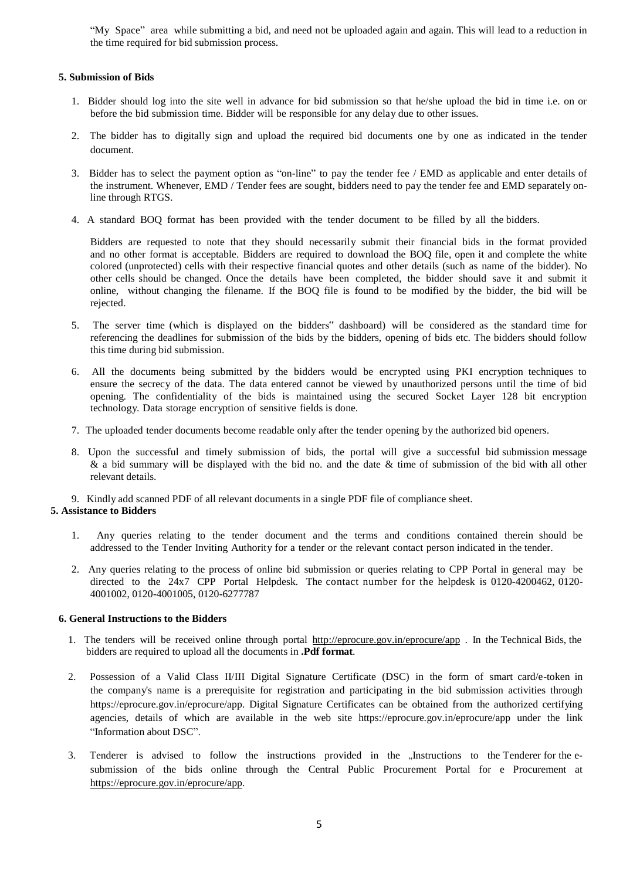"My Space" area while submitting a bid, and need not be uploaded again and again. This will lead to a reduction in the time required for bid submission process.

### **5. Submission of Bids**

- 1. Bidder should log into the site well in advance for bid submission so that he/she upload the bid in time i.e. on or before the bid submission time. Bidder will be responsible for any delay due to other issues.
- 2. The bidder has to digitally sign and upload the required bid documents one by one as indicated in the tender document.
- 3. Bidder has to select the payment option as "on-line" to pay the tender fee / EMD as applicable and enter details of the instrument. Whenever, EMD / Tender fees are sought, bidders need to pay the tender fee and EMD separately online through RTGS.
- 4. A standard BOQ format has been provided with the tender document to be filled by all the bidders.

Bidders are requested to note that they should necessarily submit their financial bids in the format provided and no other format is acceptable. Bidders are required to download the BOQ file, open it and complete the white colored (unprotected) cells with their respective financial quotes and other details (such as name of the bidder). No other cells should be changed. Once the details have been completed, the bidder should save it and submit it online, without changing the filename. If the BOQ file is found to be modified by the bidder, the bid will be rejected.

- 5. The server time (which is displayed on the bidders" dashboard) will be considered as the standard time for referencing the deadlines for submission of the bids by the bidders, opening of bids etc. The bidders should follow this time during bid submission.
- 6. All the documents being submitted by the bidders would be encrypted using PKI encryption techniques to ensure the secrecy of the data. The data entered cannot be viewed by unauthorized persons until the time of bid opening. The confidentiality of the bids is maintained using the secured Socket Layer 128 bit encryption technology. Data storage encryption of sensitive fields is done.
- 7. The uploaded tender documents become readable only after the tender opening by the authorized bid openers.
- 8. Upon the successful and timely submission of bids, the portal will give a successful bid submission message & a bid summary will be displayed with the bid no. and the date & time of submission of the bid with all other relevant details.

#### 9. Kindly add scanned PDF of all relevant documents in a single PDF file of compliance sheet.

#### **5. Assistance to Bidders**

- 1. Any queries relating to the tender document and the terms and conditions contained therein should be addressed to the Tender Inviting Authority for a tender or the relevant contact person indicated in the tender.
- 2. Any queries relating to the process of online bid submission or queries relating to CPP Portal in general may be directed to the 24x7 CPP Portal Helpdesk. The contact number for the helpdesk is 0120-4200462, 0120- 4001002, 0120-4001005, 0120-6277787

#### **6. General Instructions to the Bidders**

- 1. The tenders will be received online through portal <http://eprocure.gov.in/eprocure/app> . In the Technical Bids, the bidders are required to upload all the documents in **.Pdf format**.
- 2. Possession of a Valid Class II/III Digital Signature Certificate (DSC) in the form of smart card/e-token in the company's name is a prerequisite for registration and participating in the bid submission activities through https://eprocure.gov.in/eprocure/app. Digital Signature Certificates can be obtained from the authorized certifying agencies, details of which are available in the web site https://eprocure.gov.in/eprocure/app under the link "Information about DSC".
- 3. Tenderer is advised to follow the instructions provided in the "Instructions to the Tenderer for the esubmission of the bids online through the Central Public Procurement Portal for e Procurement [at](https://eprocure.gov.in/eprocure/app)  [https://eprocure.gov.in/eprocure/app.](https://eprocure.gov.in/eprocure/app)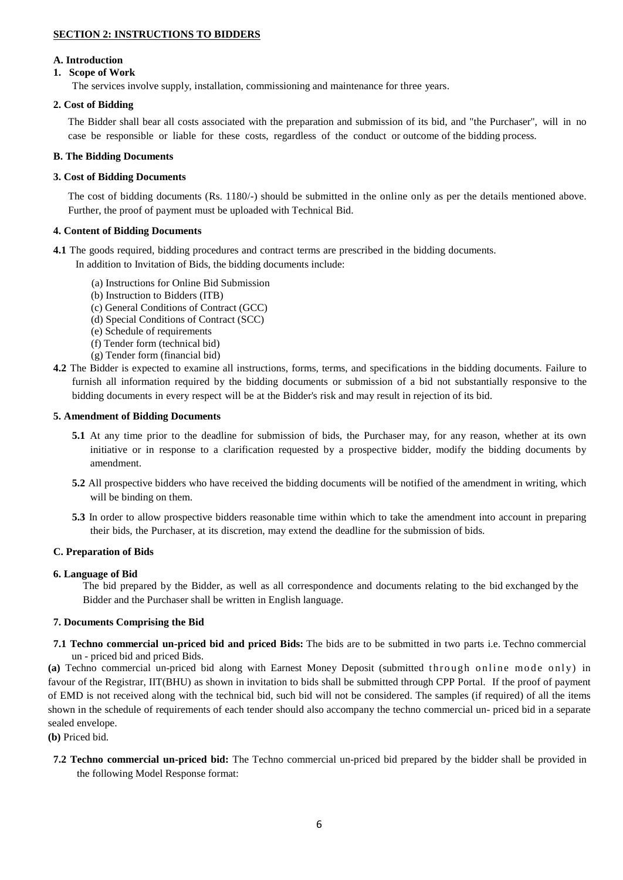## **SECTION 2: INSTRUCTIONS TO BIDDERS**

### **A. Introduction**

## **1. Scope of Work**

The services involve supply, installation, commissioning and maintenance for three years.

## **2. Cost of Bidding**

The Bidder shall bear all costs associated with the preparation and submission of its bid, and "the Purchaser", will in no case be responsible or liable for these costs, regardless of the conduct or outcome of the bidding process.

### **B. The Bidding Documents**

## **3. Cost of Bidding Documents**

The cost of bidding documents (Rs. 1180/-) should be submitted in the online only as per the details mentioned above. Further, the proof of payment must be uploaded with Technical Bid.

## **4. Content of Bidding Documents**

**4.1** The goods required, bidding procedures and contract terms are prescribed in the bidding documents.

In addition to Invitation of Bids, the bidding documents include:

- (a) Instructions for Online Bid Submission
- (b) Instruction to Bidders (ITB)
- (c) General Conditions of Contract (GCC)
- (d) Special Conditions of Contract (SCC)
- (e) Schedule of requirements
- (f) Tender form (technical bid)
- (g) Tender form (financial bid)
- **4.2** The Bidder is expected to examine all instructions, forms, terms, and specifications in the bidding documents. Failure to furnish all information required by the bidding documents or submission of a bid not substantially responsive to the bidding documents in every respect will be at the Bidder's risk and may result in rejection of its bid.

### **5. Amendment of Bidding Documents**

- **5.1** At any time prior to the deadline for submission of bids, the Purchaser may, for any reason, whether at its own initiative or in response to a clarification requested by a prospective bidder, modify the bidding documents by amendment.
- **5.2** All prospective bidders who have received the bidding documents will be notified of the amendment in writing, which will be binding on them.
- **5.3** In order to allow prospective bidders reasonable time within which to take the amendment into account in preparing their bids, the Purchaser, at its discretion, may extend the deadline for the submission of bids.

### **C. Preparation of Bids**

### **6. Language of Bid**

The bid prepared by the Bidder, as well as all correspondence and documents relating to the bid exchanged by the Bidder and the Purchaser shall be written in English language.

### **7. Documents Comprising the Bid**

**7.1 Techno commercial un-priced bid and priced Bids:** The bids are to be submitted in two parts i.e. Techno commercial un - priced bid and priced Bids.

(a) Techno commercial un-priced bid along with Earnest Money Deposit (submitted through online mode only) in favour of the Registrar, IIT(BHU) as shown in invitation to bids shall be submitted through CPP Portal. If the proof of payment of EMD is not received along with the technical bid, such bid will not be considered. The samples (if required) of all the items shown in the schedule of requirements of each tender should also accompany the techno commercial un- priced bid in a separate sealed envelope.

**(b)** Priced bid.

**7.2 Techno commercial un-priced bid:** The Techno commercial un-priced bid prepared by the bidder shall be provided in the following Model Response format: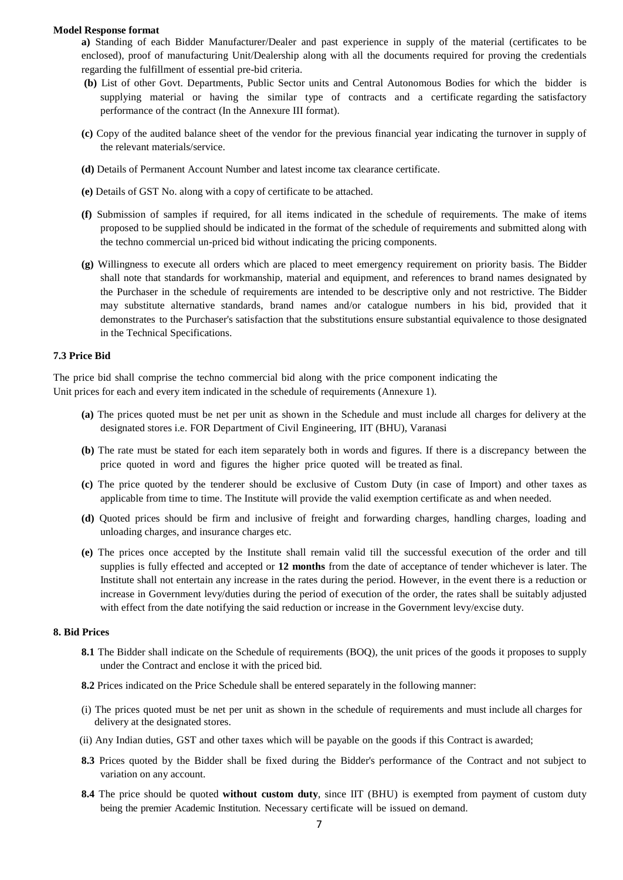#### **Model Response format**

**a)** Standing of each Bidder Manufacturer/Dealer and past experience in supply of the material (certificates to be enclosed), proof of manufacturing Unit/Dealership along with all the documents required for proving the credentials regarding the fulfillment of essential pre-bid criteria.

- **(b)** List of other Govt. Departments, Public Sector units and Central Autonomous Bodies for which the bidder is supplying material or having the similar type of contracts and a certificate regarding the satisfactory performance of the contract (In the Annexure III format).
- **(c)** Copy of the audited balance sheet of the vendor for the previous financial year indicating the turnover in supply of the relevant materials/service.
- **(d)** Details of Permanent Account Number and latest income tax clearance certificate.
- **(e)** Details of GST No. along with a copy of certificate to be attached.
- **(f)** Submission of samples if required, for all items indicated in the schedule of requirements. The make of items proposed to be supplied should be indicated in the format of the schedule of requirements and submitted along with the techno commercial un-priced bid without indicating the pricing components.
- **(g)** Willingness to execute all orders which are placed to meet emergency requirement on priority basis. The Bidder shall note that standards for workmanship, material and equipment, and references to brand names designated by the Purchaser in the schedule of requirements are intended to be descriptive only and not restrictive. The Bidder may substitute alternative standards, brand names and/or catalogue numbers in his bid, provided that it demonstrates to the Purchaser's satisfaction that the substitutions ensure substantial equivalence to those designated in the Technical Specifications.

#### **7.3 Price Bid**

The price bid shall comprise the techno commercial bid along with the price component indicating the Unit prices for each and every item indicated in the schedule of requirements (Annexure 1).

- **(a)** The prices quoted must be net per unit as shown in the Schedule and must include all charges for delivery at the designated stores i.e. FOR Department of Civil Engineering, IIT (BHU), Varanasi
- **(b)** The rate must be stated for each item separately both in words and figures. If there is a discrepancy between the price quoted in word and figures the higher price quoted will be treated as final.
- **(c)** The price quoted by the tenderer should be exclusive of Custom Duty (in case of Import) and other taxes as applicable from time to time. The Institute will provide the valid exemption certificate as and when needed.
- **(d)** Quoted prices should be firm and inclusive of freight and forwarding charges, handling charges, loading and unloading charges, and insurance charges etc.
- **(e)** The prices once accepted by the Institute shall remain valid till the successful execution of the order and till supplies is fully effected and accepted or **12 months** from the date of acceptance of tender whichever is later. The Institute shall not entertain any increase in the rates during the period. However, in the event there is a reduction or increase in Government levy/duties during the period of execution of the order, the rates shall be suitably adjusted with effect from the date notifying the said reduction or increase in the Government levy/excise duty.

#### **8. Bid Prices**

- **8.1** The Bidder shall indicate on the Schedule of requirements (BOQ), the unit prices of the goods it proposes to supply under the Contract and enclose it with the priced bid.
- **8.2** Prices indicated on the Price Schedule shall be entered separately in the following manner:
- (i) The prices quoted must be net per unit as shown in the schedule of requirements and must include all charges for delivery at the designated stores.
- (ii) Any Indian duties, GST and other taxes which will be payable on the goods if this Contract is awarded;
- **8.3** Prices quoted by the Bidder shall be fixed during the Bidder's performance of the Contract and not subject to variation on any account.
- **8.4** The price should be quoted **without custom duty**, since IIT (BHU) is exempted from payment of custom duty being the premier Academic Institution. Necessary certificate will be issued on demand.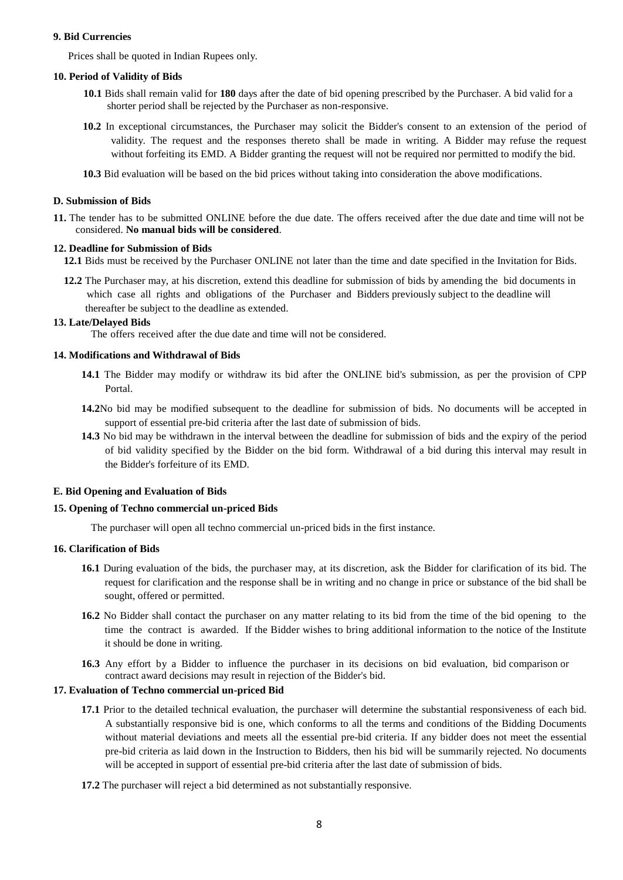#### **9. Bid Currencies**

Prices shall be quoted in Indian Rupees only.

#### **10. Period of Validity of Bids**

- **10.1** Bids shall remain valid for **180** days after the date of bid opening prescribed by the Purchaser. A bid valid for a shorter period shall be rejected by the Purchaser as non-responsive.
- **10.2** In exceptional circumstances, the Purchaser may solicit the Bidder's consent to an extension of the period of validity. The request and the responses thereto shall be made in writing. A Bidder may refuse the request without forfeiting its EMD. A Bidder granting the request will not be required nor permitted to modify the bid.
- **10.3** Bid evaluation will be based on the bid prices without taking into consideration the above modifications.

## **D. Submission of Bids**

**11.** The tender has to be submitted ONLINE before the due date. The offers received after the due date and time will not be considered. **No manual bids will be considered**.

#### **12. Deadline for Submission of Bids**

**12.1** Bids must be received by the Purchaser ONLINE not later than the time and date specified in the Invitation for Bids.

 **12.2** The Purchaser may, at his discretion, extend this deadline for submission of bids by amending the bid documents in which case all rights and obligations of the Purchaser and Bidders previously subject to the deadline will thereafter be subject to the deadline as extended.

#### **13. Late/Delayed Bids**

The offers received after the due date and time will not be considered.

#### **14. Modifications and Withdrawal of Bids**

- **14.1** The Bidder may modify or withdraw its bid after the ONLINE bid's submission, as per the provision of CPP Portal.
- **14.2**No bid may be modified subsequent to the deadline for submission of bids. No documents will be accepted in support of essential pre-bid criteria after the last date of submission of bids.
- **14.3** No bid may be withdrawn in the interval between the deadline for submission of bids and the expiry of the period of bid validity specified by the Bidder on the bid form. Withdrawal of a bid during this interval may result in the Bidder's forfeiture of its EMD.

### **E. Bid Opening and Evaluation of Bids**

#### **15. Opening of Techno commercial un-priced Bids**

The purchaser will open all techno commercial un-priced bids in the first instance.

#### **16. Clarification of Bids**

- **16.1** During evaluation of the bids, the purchaser may, at its discretion, ask the Bidder for clarification of its bid. The request for clarification and the response shall be in writing and no change in price or substance of the bid shall be sought, offered or permitted.
- **16.2** No Bidder shall contact the purchaser on any matter relating to its bid from the time of the bid opening to the time the contract is awarded. If the Bidder wishes to bring additional information to the notice of the Institute it should be done in writing.
- **16.3** Any effort by a Bidder to influence the purchaser in its decisions on bid evaluation, bid comparison or contract award decisions may result in rejection of the Bidder's bid.

#### **17. Evaluation of Techno commercial un-priced Bid**

- **17.1** Prior to the detailed technical evaluation, the purchaser will determine the substantial responsiveness of each bid. A substantially responsive bid is one, which conforms to all the terms and conditions of the Bidding Documents without material deviations and meets all the essential pre-bid criteria. If any bidder does not meet the essential pre-bid criteria as laid down in the Instruction to Bidders, then his bid will be summarily rejected. No documents will be accepted in support of essential pre-bid criteria after the last date of submission of bids.
- **17.2** The purchaser will reject a bid determined as not substantially responsive.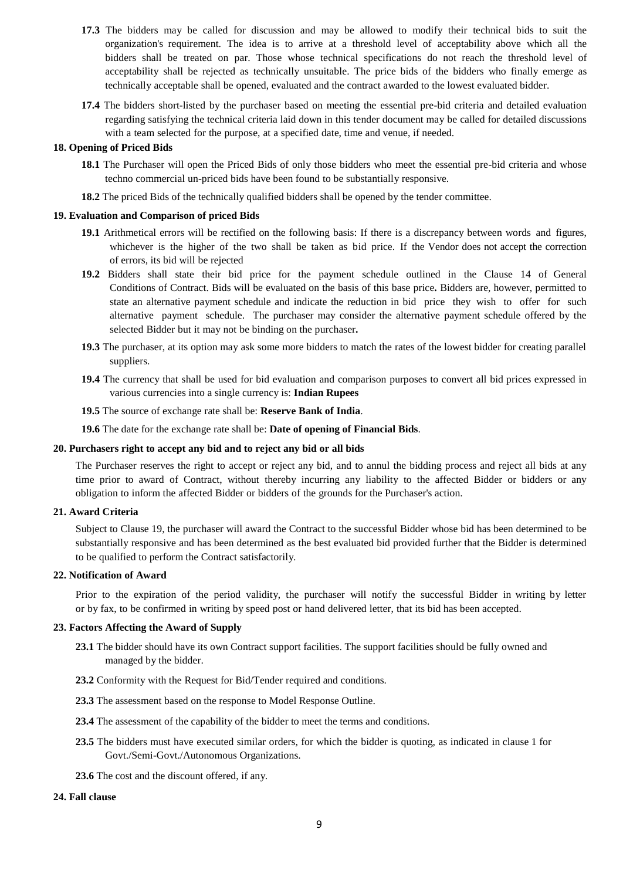- **17.3** The bidders may be called for discussion and may be allowed to modify their technical bids to suit the organization's requirement. The idea is to arrive at a threshold level of acceptability above which all the bidders shall be treated on par. Those whose technical specifications do not reach the threshold level of acceptability shall be rejected as technically unsuitable. The price bids of the bidders who finally emerge as technically acceptable shall be opened, evaluated and the contract awarded to the lowest evaluated bidder.
- **17.4** The bidders short-listed by the purchaser based on meeting the essential pre-bid criteria and detailed evaluation regarding satisfying the technical criteria laid down in this tender document may be called for detailed discussions with a team selected for the purpose, at a specified date, time and venue, if needed.

#### **18. Opening of Priced Bids**

- **18.1** The Purchaser will open the Priced Bids of only those bidders who meet the essential pre-bid criteria and whose techno commercial un-priced bids have been found to be substantially responsive.
- **18.2** The priced Bids of the technically qualified bidders shall be opened by the tender committee.

#### **19. Evaluation and Comparison of priced Bids**

- **19.1** Arithmetical errors will be rectified on the following basis: If there is a discrepancy between words and figures, whichever is the higher of the two shall be taken as bid price. If the Vendor does not accept the correction of errors, its bid will be rejected
- **19.2** Bidders shall state their bid price for the payment schedule outlined in the Clause 14 of General Conditions of Contract. Bids will be evaluated on the basis of this base price**.** Bidders are, however, permitted to state an alternative payment schedule and indicate the reduction in bid price they wish to offer for such alternative payment schedule. The purchaser may consider the alternative payment schedule offered by the selected Bidder but it may not be binding on the purchaser**.**
- **19.3** The purchaser, at its option may ask some more bidders to match the rates of the lowest bidder for creating parallel suppliers.
- **19.4** The currency that shall be used for bid evaluation and comparison purposes to convert all bid prices expressed in various currencies into a single currency is: **Indian Rupees**
- **19.5** The source of exchange rate shall be: **Reserve Bank of India**.

**19.6** The date for the exchange rate shall be: **Date of opening of Financial Bids**.

#### **20. Purchasers right to accept any bid and to reject any bid or all bids**

The Purchaser reserves the right to accept or reject any bid, and to annul the bidding process and reject all bids at any time prior to award of Contract, without thereby incurring any liability to the affected Bidder or bidders or any obligation to inform the affected Bidder or bidders of the grounds for the Purchaser's action.

#### **21. Award Criteria**

Subject to Clause 19, the purchaser will award the Contract to the successful Bidder whose bid has been determined to be substantially responsive and has been determined as the best evaluated bid provided further that the Bidder is determined to be qualified to perform the Contract satisfactorily.

#### **22. Notification of Award**

Prior to the expiration of the period validity, the purchaser will notify the successful Bidder in writing by letter or by fax, to be confirmed in writing by speed post or hand delivered letter, that its bid has been accepted.

#### **23. Factors Affecting the Award of Supply**

- **23.1** The bidder should have its own Contract support facilities. The support facilities should be fully owned and managed by the bidder.
- **23.2** Conformity with the Request for Bid/Tender required and conditions.
- **23.3** The assessment based on the response to Model Response Outline.
- **23.4** The assessment of the capability of the bidder to meet the terms and conditions.
- **23.5** The bidders must have executed similar orders, for which the bidder is quoting, as indicated in clause 1 for Govt./Semi-Govt./Autonomous Organizations.
- **23.6** The cost and the discount offered, if any.

#### **24. Fall clause**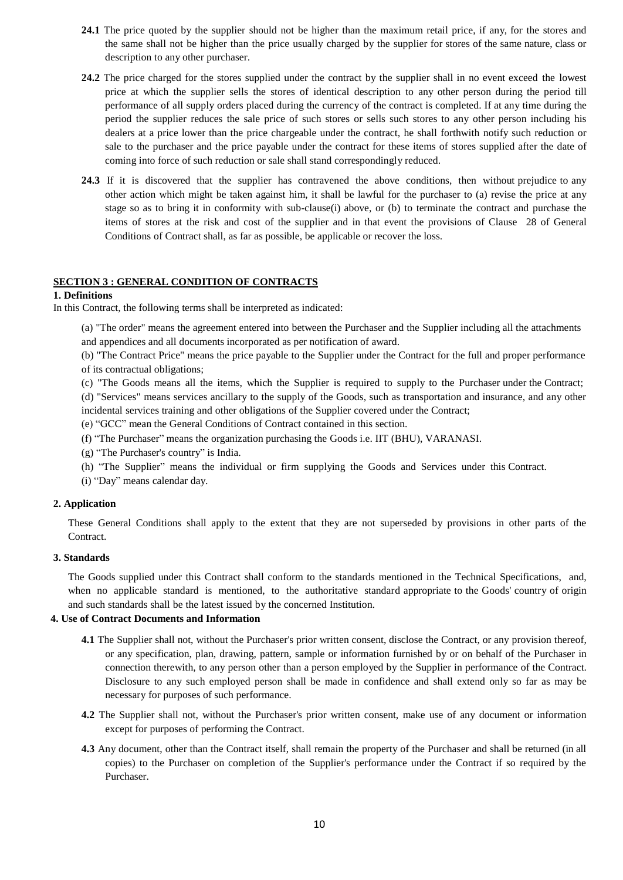- **24.1** The price quoted by the supplier should not be higher than the maximum retail price, if any, for the stores and the same shall not be higher than the price usually charged by the supplier for stores of the same nature, class or description to any other purchaser.
- **24.2** The price charged for the stores supplied under the contract by the supplier shall in no event exceed the lowest price at which the supplier sells the stores of identical description to any other person during the period till performance of all supply orders placed during the currency of the contract is completed. If at any time during the period the supplier reduces the sale price of such stores or sells such stores to any other person including his dealers at a price lower than the price chargeable under the contract, he shall forthwith notify such reduction or sale to the purchaser and the price payable under the contract for these items of stores supplied after the date of coming into force of such reduction or sale shall stand correspondingly reduced.
- **24.3** If it is discovered that the supplier has contravened the above conditions, then without prejudice to any other action which might be taken against him, it shall be lawful for the purchaser to (a) revise the price at any stage so as to bring it in conformity with sub-clause(i) above, or (b) to terminate the contract and purchase the items of stores at the risk and cost of the supplier and in that event the provisions of Clause 28 of General Conditions of Contract shall, as far as possible, be applicable or recover the loss.

### **SECTION 3 : GENERAL CONDITION OF CONTRACTS**

#### **1. Definitions**

In this Contract, the following terms shall be interpreted as indicated:

(a) "The order" means the agreement entered into between the Purchaser and the Supplier including all the attachments and appendices and all documents incorporated as per notification of award.

(b) "The Contract Price" means the price payable to the Supplier under the Contract for the full and proper performance of its contractual obligations;

(c) "The Goods means all the items, which the Supplier is required to supply to the Purchaser under the Contract; (d) "Services" means services ancillary to the supply of the Goods, such as transportation and insurance, and any other incidental services training and other obligations of the Supplier covered under the Contract;

(e) "GCC" mean the General Conditions of Contract contained in this section.

(f) "The Purchaser" means the organization purchasing the Goods i.e. IIT (BHU), VARANASI.

- (g) "The Purchaser's country" is India.
- (h) "The Supplier" means the individual or firm supplying the Goods and Services under this Contract.
- (i) "Day" means calendar day.

#### **2. Application**

These General Conditions shall apply to the extent that they are not superseded by provisions in other parts of the Contract.

#### **3. Standards**

The Goods supplied under this Contract shall conform to the standards mentioned in the Technical Specifications, and, when no applicable standard is mentioned, to the authoritative standard appropriate to the Goods' country of origin and such standards shall be the latest issued by the concerned Institution.

#### **4. Use of Contract Documents and Information**

- **4.1** The Supplier shall not, without the Purchaser's prior written consent, disclose the Contract, or any provision thereof, or any specification, plan, drawing, pattern, sample or information furnished by or on behalf of the Purchaser in connection therewith, to any person other than a person employed by the Supplier in performance of the Contract. Disclosure to any such employed person shall be made in confidence and shall extend only so far as may be necessary for purposes of such performance.
- **4.2** The Supplier shall not, without the Purchaser's prior written consent, make use of any document or information except for purposes of performing the Contract.
- **4.3** Any document, other than the Contract itself, shall remain the property of the Purchaser and shall be returned (in all copies) to the Purchaser on completion of the Supplier's performance under the Contract if so required by the Purchaser.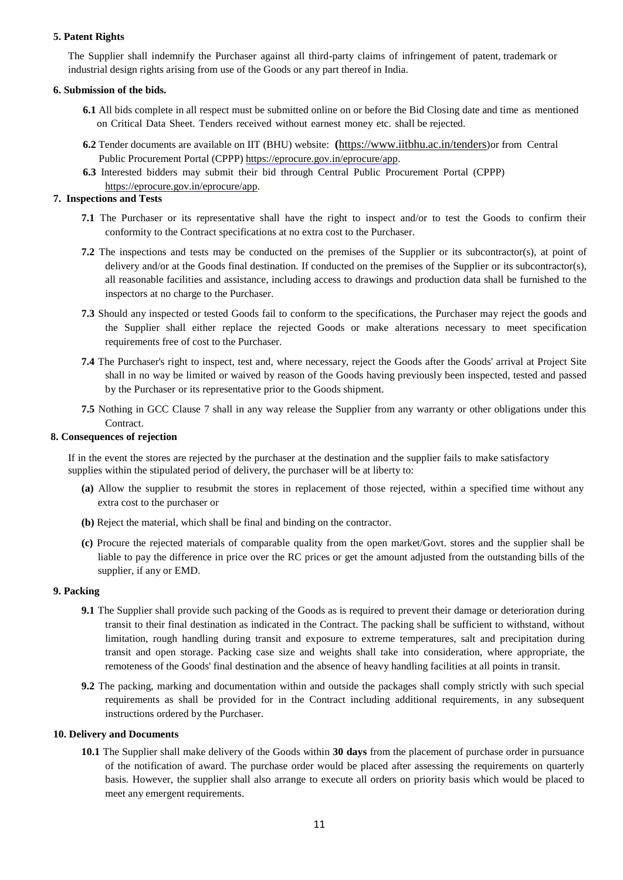### **5. Patent Rights**

The Supplier shall indemnify the Purchaser against all third-party claims of infringement of patent, trademark or industrial design rights arising from use of the Goods or any part thereof in India.

### **6. Submission of the bids.**

- **6.1** All bids complete in all respect must be submitted online on or before the Bid Closing date and time as mentioned on Critical Data Sheet. Tenders received without earnest money etc. shall be rejected.
- **6.2** Tender documents are available on IIT (BHU) website: **(**<https://www.iitbhu.ac.in/tenders>)or from Central Public Procurement Portal (CPPP) [https://eprocure.gov.in/eprocure/app.](https://eprocure.gov.in/eprocure/app)
- **6.3** Interested bidders may submit their bid through Central Public Procurement Portal (CPPP) [https://eprocure.gov.in/eprocure/app.](https://eprocure.gov.in/eprocure/app)

## **7. Inspections and Tests**

- **7.1** The Purchaser or its representative shall have the right to inspect and/or to test the Goods to confirm their conformity to the Contract specifications at no extra cost to the Purchaser.
- **7.2** The inspections and tests may be conducted on the premises of the Supplier or its subcontractor(s), at point of delivery and/or at the Goods final destination. If conducted on the premises of the Supplier or its subcontractor(s), all reasonable facilities and assistance, including access to drawings and production data shall be furnished to the inspectors at no charge to the Purchaser.
- **7.3** Should any inspected or tested Goods fail to conform to the specifications, the Purchaser may reject the goods and the Supplier shall either replace the rejected Goods or make alterations necessary to meet specification requirements free of cost to the Purchaser.
- **7.4** The Purchaser's right to inspect, test and, where necessary, reject the Goods after the Goods' arrival at Project Site shall in no way be limited or waived by reason of the Goods having previously been inspected, tested and passed by the Purchaser or its representative prior to the Goods shipment.
- **7.5** Nothing in GCC Clause 7 shall in any way release the Supplier from any warranty or other obligations under this Contract.

### **8. Consequences of rejection**

If in the event the stores are rejected by the purchaser at the destination and the supplier fails to make satisfactory supplies within the stipulated period of delivery, the purchaser will be at liberty to:

- **(a)** Allow the supplier to resubmit the stores in replacement of those rejected, within a specified time without any extra cost to the purchaser or
- **(b)** Reject the material, which shall be final and binding on the contractor.
- **(c)** Procure the rejected materials of comparable quality from the open market/Govt. stores and the supplier shall be liable to pay the difference in price over the RC prices or get the amount adjusted from the outstanding bills of the supplier, if any or EMD.

### **9. Packing**

- **9.1** The Supplier shall provide such packing of the Goods as is required to prevent their damage or deterioration during transit to their final destination as indicated in the Contract. The packing shall be sufficient to withstand, without limitation, rough handling during transit and exposure to extreme temperatures, salt and precipitation during transit and open storage. Packing case size and weights shall take into consideration, where appropriate, the remoteness of the Goods' final destination and the absence of heavy handling facilities at all points in transit.
- **9.2** The packing, marking and documentation within and outside the packages shall comply strictly with such special requirements as shall be provided for in the Contract including additional requirements, in any subsequent instructions ordered by the Purchaser.

### **10. Delivery and Documents**

**10.1** The Supplier shall make delivery of the Goods within **30 days** from the placement of purchase order in pursuance of the notification of award. The purchase order would be placed after assessing the requirements on quarterly basis. However, the supplier shall also arrange to execute all orders on priority basis which would be placed to meet any emergent requirements.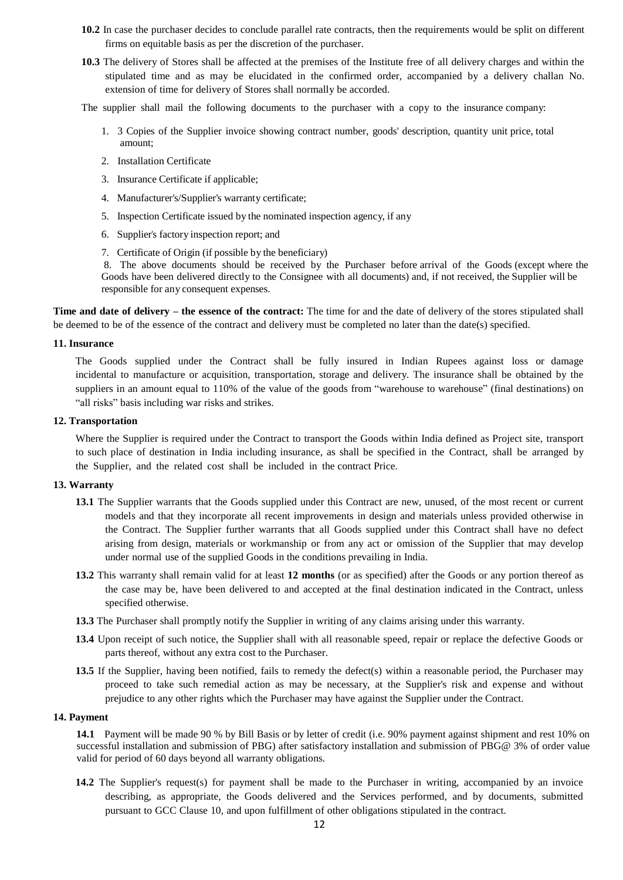- **10.2** In case the purchaser decides to conclude parallel rate contracts, then the requirements would be split on different firms on equitable basis as per the discretion of the purchaser.
- **10.3** The delivery of Stores shall be affected at the premises of the Institute free of all delivery charges and within the stipulated time and as may be elucidated in the confirmed order, accompanied by a delivery challan No. extension of time for delivery of Stores shall normally be accorded.
- The supplier shall mail the following documents to the purchaser with a copy to the insurance company:
	- 1. 3 Copies of the Supplier invoice showing contract number, goods' description, quantity unit price, total amount;
	- 2. Installation Certificate
	- 3. Insurance Certificate if applicable;
	- 4. Manufacturer's/Supplier's warranty certificate;
	- 5. Inspection Certificate issued by the nominated inspection agency, if any
	- 6. Supplier's factory inspection report; and
	- 7. Certificate of Origin (if possible by the beneficiary)

8. The above documents should be received by the Purchaser before arrival of the Goods (except where the Goods have been delivered directly to the Consignee with all documents) and, if not received, the Supplier will be responsible for any consequent expenses.

**Time and date of delivery – the essence of the contract:** The time for and the date of delivery of the stores stipulated shall be deemed to be of the essence of the contract and delivery must be completed no later than the date(s) specified.

#### **11. Insurance**

The Goods supplied under the Contract shall be fully insured in Indian Rupees against loss or damage incidental to manufacture or acquisition, transportation, storage and delivery. The insurance shall be obtained by the suppliers in an amount equal to 110% of the value of the goods from "warehouse to warehouse" (final destinations) on "all risks" basis including war risks and strikes.

#### **12. Transportation**

Where the Supplier is required under the Contract to transport the Goods within India defined as Project site, transport to such place of destination in India including insurance, as shall be specified in the Contract, shall be arranged by the Supplier, and the related cost shall be included in the contract Price.

#### **13. Warranty**

- **13.1** The Supplier warrants that the Goods supplied under this Contract are new, unused, of the most recent or current models and that they incorporate all recent improvements in design and materials unless provided otherwise in the Contract. The Supplier further warrants that all Goods supplied under this Contract shall have no defect arising from design, materials or workmanship or from any act or omission of the Supplier that may develop under normal use of the supplied Goods in the conditions prevailing in India.
- **13.2** This warranty shall remain valid for at least **12 months** (or as specified) after the Goods or any portion thereof as the case may be, have been delivered to and accepted at the final destination indicated in the Contract, unless specified otherwise.
- **13.3** The Purchaser shall promptly notify the Supplier in writing of any claims arising under this warranty.
- **13.4** Upon receipt of such notice, the Supplier shall with all reasonable speed, repair or replace the defective Goods or parts thereof, without any extra cost to the Purchaser.
- **13.5** If the Supplier, having been notified, fails to remedy the defect(s) within a reasonable period, the Purchaser may proceed to take such remedial action as may be necessary, at the Supplier's risk and expense and without prejudice to any other rights which the Purchaser may have against the Supplier under the Contract.

### **14. Payment**

**14.1** Payment will be made 90 % by Bill Basis or by letter of credit (i.e. 90% payment against shipment and rest 10% on successful installation and submission of PBG) after satisfactory installation and submission of PBG@ 3% of order value valid for period of 60 days beyond all warranty obligations.

**14.2** The Supplier's request(s) for payment shall be made to the Purchaser in writing, accompanied by an invoice describing, as appropriate, the Goods delivered and the Services performed, and by documents, submitted pursuant to GCC Clause 10, and upon fulfillment of other obligations stipulated in the contract.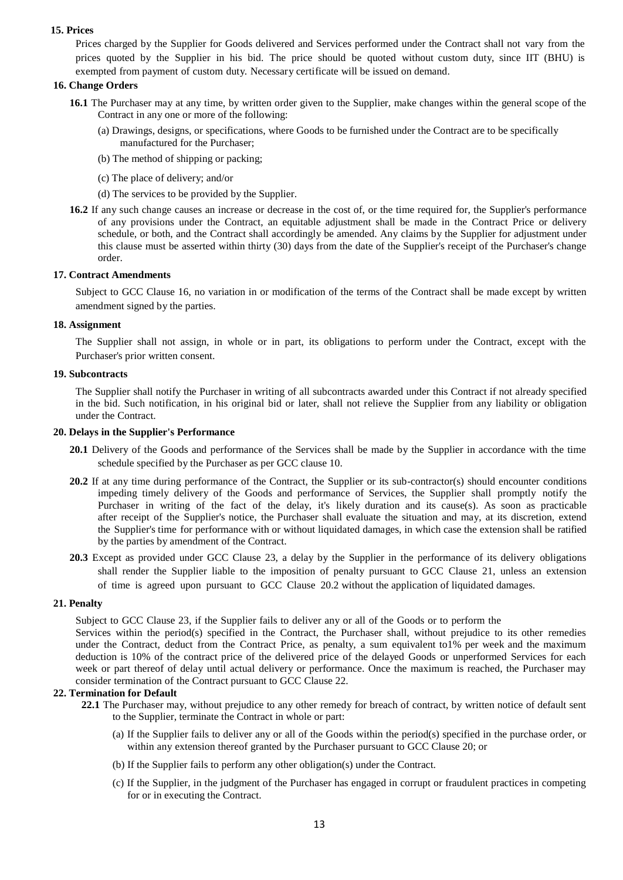### **15. Prices**

Prices charged by the Supplier for Goods delivered and Services performed under the Contract shall not vary from the prices quoted by the Supplier in his bid. The price should be quoted without custom duty, since IIT (BHU) is exempted from payment of custom duty. Necessary certificate will be issued on demand.

#### **16. Change Orders**

- **16.1** The Purchaser may at any time, by written order given to the Supplier, make changes within the general scope of the Contract in any one or more of the following:
	- (a) Drawings, designs, or specifications, where Goods to be furnished under the Contract are to be specifically manufactured for the Purchaser;
	- (b) The method of shipping or packing;
	- (c) The place of delivery; and/or
	- (d) The services to be provided by the Supplier.
- **16.2** If any such change causes an increase or decrease in the cost of, or the time required for, the Supplier's performance of any provisions under the Contract, an equitable adjustment shall be made in the Contract Price or delivery schedule, or both, and the Contract shall accordingly be amended. Any claims by the Supplier for adjustment under this clause must be asserted within thirty (30) days from the date of the Supplier's receipt of the Purchaser's change order.

#### **17. Contract Amendments**

Subject to GCC Clause 16, no variation in or modification of the terms of the Contract shall be made except by written amendment signed by the parties.

#### **18. Assignment**

The Supplier shall not assign, in whole or in part, its obligations to perform under the Contract, except with the Purchaser's prior written consent.

#### **19. Subcontracts**

The Supplier shall notify the Purchaser in writing of all subcontracts awarded under this Contract if not already specified in the bid. Such notification, in his original bid or later, shall not relieve the Supplier from any liability or obligation under the Contract.

#### **20. Delays in the Supplier's Performance**

- **20.1** Delivery of the Goods and performance of the Services shall be made by the Supplier in accordance with the time schedule specified by the Purchaser as per GCC clause 10.
- **20.2** If at any time during performance of the Contract, the Supplier or its sub-contractor(s) should encounter conditions impeding timely delivery of the Goods and performance of Services, the Supplier shall promptly notify the Purchaser in writing of the fact of the delay, it's likely duration and its cause(s). As soon as practicable after receipt of the Supplier's notice, the Purchaser shall evaluate the situation and may, at its discretion, extend the Supplier's time for performance with or without liquidated damages, in which case the extension shall be ratified by the parties by amendment of the Contract.
- **20.3** Except as provided under GCC Clause 23, a delay by the Supplier in the performance of its delivery obligations shall render the Supplier liable to the imposition of penalty pursuant to GCC Clause 21, unless an extension of time is agreed upon pursuant to GCC Clause 20.2 without the application of liquidated damages.

#### **21. Penalty**

Subject to GCC Clause 23, if the Supplier fails to deliver any or all of the Goods or to perform the

Services within the period(s) specified in the Contract, the Purchaser shall, without prejudice to its other remedies under the Contract, deduct from the Contract Price, as penalty, a sum equivalent to1% per week and the maximum deduction is 10% of the contract price of the delivered price of the delayed Goods or unperformed Services for each week or part thereof of delay until actual delivery or performance. Once the maximum is reached, the Purchaser may consider termination of the Contract pursuant to GCC Clause 22.

### **22. Termination for Default**

- **22.1** The Purchaser may, without prejudice to any other remedy for breach of contract, by written notice of default sent to the Supplier, terminate the Contract in whole or part:
	- (a) If the Supplier fails to deliver any or all of the Goods within the period(s) specified in the purchase order, or within any extension thereof granted by the Purchaser pursuant to GCC Clause 20; or
	- (b) If the Supplier fails to perform any other obligation(s) under the Contract.
	- (c) If the Supplier, in the judgment of the Purchaser has engaged in corrupt or fraudulent practices in competing for or in executing the Contract.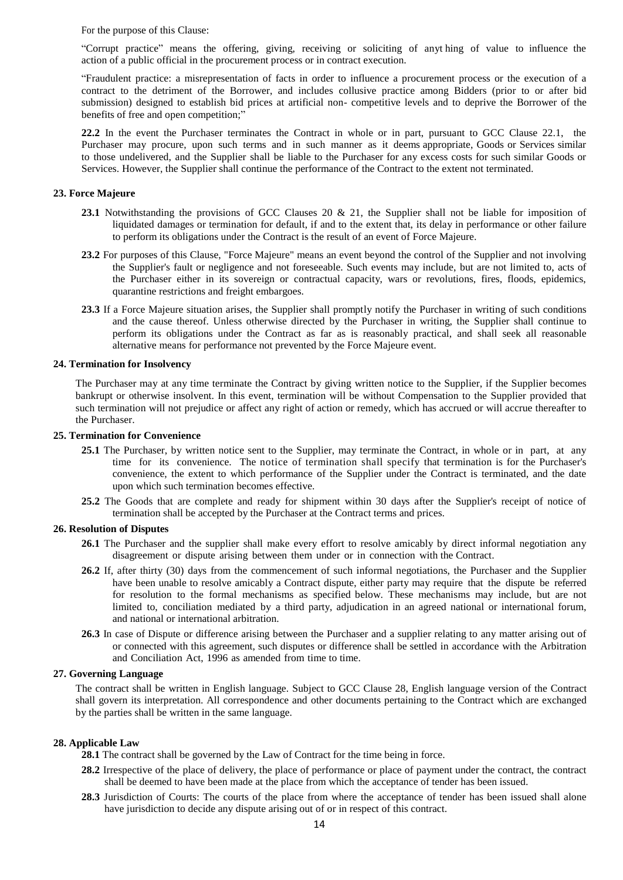For the purpose of this Clause:

"Corrupt practice" means the offering, giving, receiving or soliciting of anyt hing of value to influence the action of a public official in the procurement process or in contract execution.

"Fraudulent practice: a misrepresentation of facts in order to influence a procurement process or the execution of a contract to the detriment of the Borrower, and includes collusive practice among Bidders (prior to or after bid submission) designed to establish bid prices at artificial non- competitive levels and to deprive the Borrower of the benefits of free and open competition;"

**22.2** In the event the Purchaser terminates the Contract in whole or in part, pursuant to GCC Clause 22.1, the Purchaser may procure, upon such terms and in such manner as it deems appropriate, Goods or Services similar to those undelivered, and the Supplier shall be liable to the Purchaser for any excess costs for such similar Goods or Services. However, the Supplier shall continue the performance of the Contract to the extent not terminated.

#### **23. Force Majeure**

- **23.1** Notwithstanding the provisions of GCC Clauses 20 & 21, the Supplier shall not be liable for imposition of liquidated damages or termination for default, if and to the extent that, its delay in performance or other failure to perform its obligations under the Contract is the result of an event of Force Majeure.
- **23.2** For purposes of this Clause, "Force Majeure" means an event beyond the control of the Supplier and not involving the Supplier's fault or negligence and not foreseeable. Such events may include, but are not limited to, acts of the Purchaser either in its sovereign or contractual capacity, wars or revolutions, fires, floods, epidemics, quarantine restrictions and freight embargoes.
- **23.3** If a Force Majeure situation arises, the Supplier shall promptly notify the Purchaser in writing of such conditions and the cause thereof. Unless otherwise directed by the Purchaser in writing, the Supplier shall continue to perform its obligations under the Contract as far as is reasonably practical, and shall seek all reasonable alternative means for performance not prevented by the Force Majeure event.

#### **24. Termination for Insolvency**

The Purchaser may at any time terminate the Contract by giving written notice to the Supplier, if the Supplier becomes bankrupt or otherwise insolvent. In this event, termination will be without Compensation to the Supplier provided that such termination will not prejudice or affect any right of action or remedy, which has accrued or will accrue thereafter to the Purchaser.

#### **25. Termination for Convenience**

- **25.1** The Purchaser, by written notice sent to the Supplier, may terminate the Contract, in whole or in part, at any time for its convenience. The notice of termination shall specify that termination is for the Purchaser's convenience, the extent to which performance of the Supplier under the Contract is terminated, and the date upon which such termination becomes effective.
- **25.2** The Goods that are complete and ready for shipment within 30 days after the Supplier's receipt of notice of termination shall be accepted by the Purchaser at the Contract terms and prices.

#### **26. Resolution of Disputes**

- **26.1** The Purchaser and the supplier shall make every effort to resolve amicably by direct informal negotiation any disagreement or dispute arising between them under or in connection with the Contract.
- **26.2** If, after thirty (30) days from the commencement of such informal negotiations, the Purchaser and the Supplier have been unable to resolve amicably a Contract dispute, either party may require that the dispute be referred for resolution to the formal mechanisms as specified below. These mechanisms may include, but are not limited to, conciliation mediated by a third party, adjudication in an agreed national or international forum, and national or international arbitration.
- **26.3** In case of Dispute or difference arising between the Purchaser and a supplier relating to any matter arising out of or connected with this agreement, such disputes or difference shall be settled in accordance with the Arbitration and Conciliation Act, 1996 as amended from time to time.

#### **27. Governing Language**

The contract shall be written in English language. Subject to GCC Clause 28, English language version of the Contract shall govern its interpretation. All correspondence and other documents pertaining to the Contract which are exchanged by the parties shall be written in the same language.

#### **28. Applicable Law**

**28.1** The contract shall be governed by the Law of Contract for the time being in force.

- **28.2** Irrespective of the place of delivery, the place of performance or place of payment under the contract, the contract shall be deemed to have been made at the place from which the acceptance of tender has been issued.
- **28.3** Jurisdiction of Courts: The courts of the place from where the acceptance of tender has been issued shall alone have jurisdiction to decide any dispute arising out of or in respect of this contract.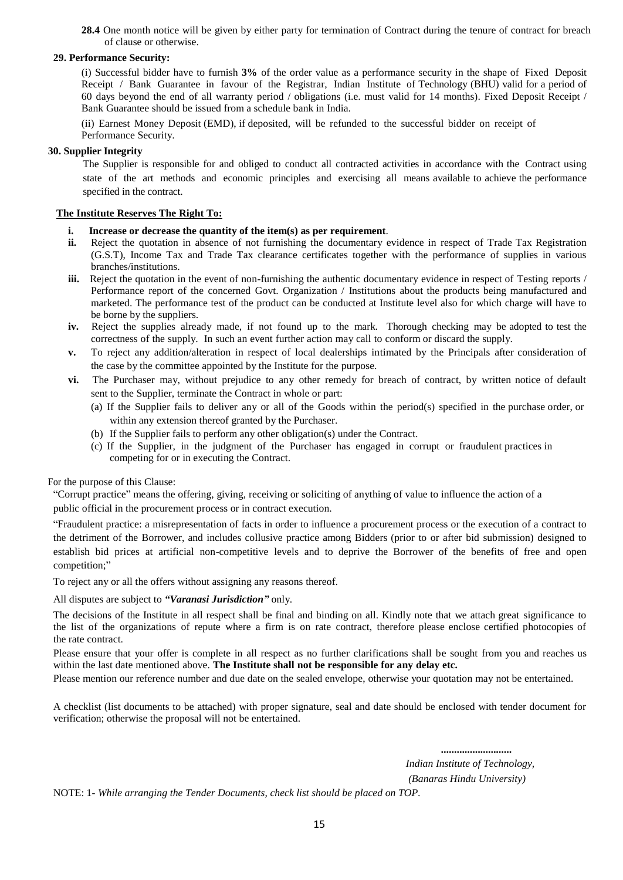**28.4** One month notice will be given by either party for termination of Contract during the tenure of contract for breach of clause or otherwise.

#### **29. Performance Security:**

(i) Successful bidder have to furnish **3%** of the order value as a performance security in the shape of Fixed Deposit Receipt / Bank Guarantee in favour of the Registrar, Indian Institute of Technology (BHU) valid for a period of 60 days beyond the end of all warranty period / obligations (i.e. must valid for 14 months). Fixed Deposit Receipt / Bank Guarantee should be issued from a schedule bank in India.

(ii) Earnest Money Deposit (EMD), if deposited, will be refunded to the successful bidder on receipt of Performance Security.

### **30. Supplier Integrity**

The Supplier is responsible for and obliged to conduct all contracted activities in accordance with the Contract using state of the art methods and economic principles and exercising all means available to achieve the performance specified in the contract.

#### **The Institute Reserves The Right To:**

- **i. Increase or decrease the quantity of the item(s) as per requirement**.
- **ii.** Reject the quotation in absence of not furnishing the documentary evidence in respect of Trade Tax Registration (G.S.T), Income Tax and Trade Tax clearance certificates together with the performance of supplies in various branches/institutions.
- **iii.** Reject the quotation in the event of non-furnishing the authentic documentary evidence in respect of Testing reports / Performance report of the concerned Govt. Organization / Institutions about the products being manufactured and marketed. The performance test of the product can be conducted at Institute level also for which charge will have to be borne by the suppliers.
- **iv.** Reject the supplies already made, if not found up to the mark. Thorough checking may be adopted to test the correctness of the supply. In such an event further action may call to conform or discard the supply.
- **v.** To reject any addition/alteration in respect of local dealerships intimated by the Principals after consideration of the case by the committee appointed by the Institute for the purpose.
- **vi.** The Purchaser may, without prejudice to any other remedy for breach of contract, by written notice of default sent to the Supplier, terminate the Contract in whole or part:
	- (a) If the Supplier fails to deliver any or all of the Goods within the period(s) specified in the purchase order, or within any extension thereof granted by the Purchaser.
	- (b) If the Supplier fails to perform any other obligation(s) under the Contract.
	- (c) If the Supplier, in the judgment of the Purchaser has engaged in corrupt or fraudulent practices in competing for or in executing the Contract.

#### For the purpose of this Clause:

"Corrupt practice" means the offering, giving, receiving or soliciting of anything of value to influence the action of a public official in the procurement process or in contract execution.

"Fraudulent practice: a misrepresentation of facts in order to influence a procurement process or the execution of a contract to the detriment of the Borrower, and includes collusive practice among Bidders (prior to or after bid submission) designed to establish bid prices at artificial non-competitive levels and to deprive the Borrower of the benefits of free and open competition;"

To reject any or all the offers without assigning any reasons thereof.

All disputes are subject to *"Varanasi Jurisdiction"* only.

The decisions of the Institute in all respect shall be final and binding on all. Kindly note that we attach great significance to the list of the organizations of repute where a firm is on rate contract, therefore please enclose certified photocopies of the rate contract.

Please ensure that your offer is complete in all respect as no further clarifications shall be sought from you and reaches us within the last date mentioned above. **The Institute shall not be responsible for any delay etc.**

Please mention our reference number and due date on the sealed envelope, otherwise your quotation may not be entertained.

A checklist (list documents to be attached) with proper signature, seal and date should be enclosed with tender document for verification; otherwise the proposal will not be entertained.

> *........................... Indian Institute of Technology, (Banaras Hindu University)*

NOTE: 1- *While arranging the Tender Documents, check list should be placed on TOP.*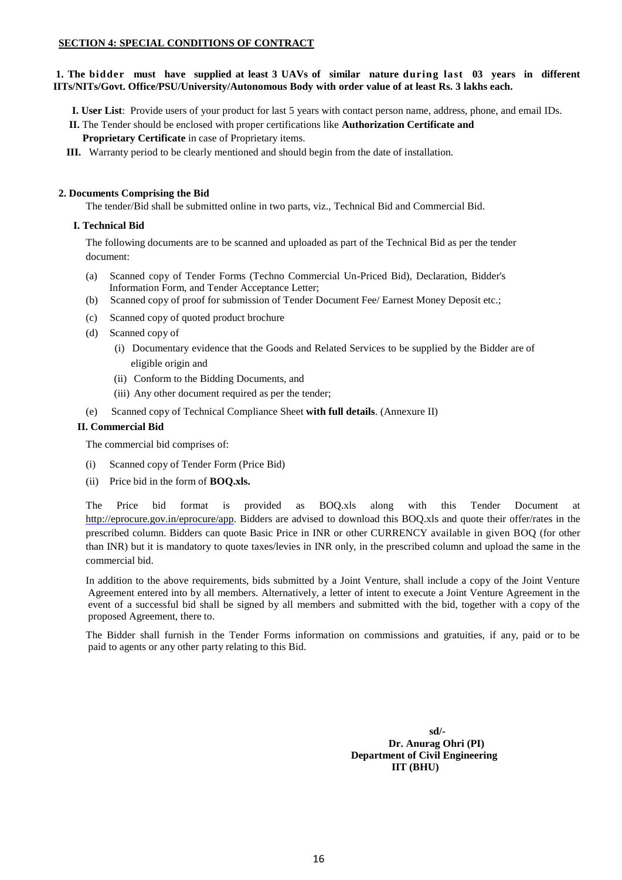### **SECTION 4: SPECIAL CONDITIONS OF CONTRACT**

### **1. The bidder must have supplied at least 3 UAVs of similar nature during last 03 years in different IITs/NITs/Govt. Office/PSU/University/Autonomous Body with order value of at least Rs. 3 lakhs each.**

**I. User List**: Provide users of your product for last 5 years with contact person name, address, phone, and email IDs.

 **II.** The Tender should be enclosed with proper certifications like **Authorization Certificate and** 

 **Proprietary Certificate** in case of Proprietary items.

**III.** Warranty period to be clearly mentioned and should begin from the date of installation.

## **2. Documents Comprising the Bid**

The tender/Bid shall be submitted online in two parts, viz., Technical Bid and Commercial Bid.

## **I. Technical Bid**

The following documents are to be scanned and uploaded as part of the Technical Bid as per the tender document:

- (a) Scanned copy of Tender Forms (Techno Commercial Un-Priced Bid), Declaration, Bidder's Information Form, and Tender Acceptance Letter;
- (b) Scanned copy of proof for submission of Tender Document Fee/ Earnest Money Deposit etc.;
- (c) Scanned copy of quoted product brochure
- (d) Scanned copy of
	- (i) Documentary evidence that the Goods and Related Services to be supplied by the Bidder are of eligible origin and
	- (ii) Conform to the Bidding Documents, and
	- (iii) Any other document required as per the tender;
- (e) Scanned copy of Technical Compliance Sheet **with full details**. (Annexure II)

### **II. Commercial Bid**

The commercial bid comprises of:

- (i) Scanned copy of Tender Form (Price Bid)
- (ii) Price bid in the form of **BOQ.xls.**

The Price bid format is provided as BOQ.xls along with this Tender Document at [http://eprocure.gov.in/eprocure/app.](http://eprocure.gov.in/eprocure/app) Bidders are advised to download this BOQ.xls and quote their offer/rates in the prescribed column. Bidders can quote Basic Price in INR or other CURRENCY available in given BOQ (for other than INR) but it is mandatory to quote taxes/levies in INR only, in the prescribed column and upload the same in the commercial bid.

In addition to the above requirements, bids submitted by a Joint Venture, shall include a copy of the Joint Venture Agreement entered into by all members. Alternatively, a letter of intent to execute a Joint Venture Agreement in the event of a successful bid shall be signed by all members and submitted with the bid, together with a copy of the proposed Agreement, there to.

The Bidder shall furnish in the Tender Forms information on commissions and gratuities, if any, paid or to be paid to agents or any other party relating to this Bid.

> **sd/- Dr. Anurag Ohri (PI) Department of Civil Engineering IIT (BHU)**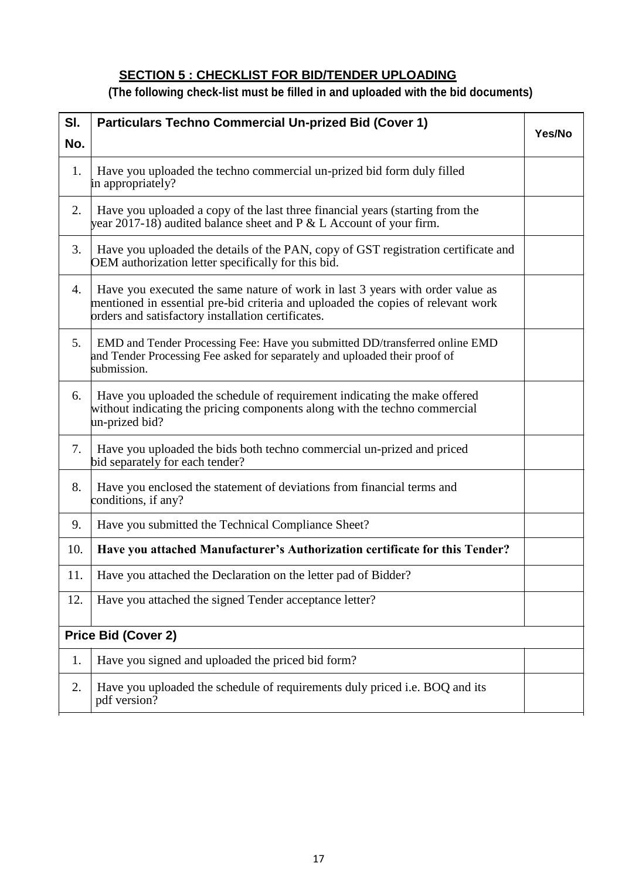# **SECTION 5 : CHECKLIST FOR BID/TENDER UPLOADING**

# **(The following check-list must be filled in and uploaded with the bid documents)**

| SI. | <b>Particulars Techno Commercial Un-prized Bid (Cover 1)</b>                                                                                                                                                            |  |
|-----|-------------------------------------------------------------------------------------------------------------------------------------------------------------------------------------------------------------------------|--|
| No. |                                                                                                                                                                                                                         |  |
| 1.  | Have you uploaded the techno commercial un-prized bid form duly filled<br>in appropriately?                                                                                                                             |  |
| 2.  | Have you uploaded a copy of the last three financial years (starting from the<br>year 2017-18) audited balance sheet and $P \& L$ Account of your firm.                                                                 |  |
| 3.  | Have you uploaded the details of the PAN, copy of GST registration certificate and<br>OEM authorization letter specifically for this bid.                                                                               |  |
| 4.  | Have you executed the same nature of work in last 3 years with order value as<br>mentioned in essential pre-bid criteria and uploaded the copies of relevant work<br>orders and satisfactory installation certificates. |  |
| 5.  | EMD and Tender Processing Fee: Have you submitted DD/transferred online EMD<br>and Tender Processing Fee asked for separately and uploaded their proof of<br>submission.                                                |  |
| 6.  | Have you uploaded the schedule of requirement indicating the make offered<br>without indicating the pricing components along with the techno commercial<br>un-prized bid?                                               |  |
| 7.  | Have you uploaded the bids both techno commercial un-prized and priced<br>bid separately for each tender?                                                                                                               |  |
| 8.  | Have you enclosed the statement of deviations from financial terms and<br>conditions, if any?                                                                                                                           |  |
| 9.  | Have you submitted the Technical Compliance Sheet?                                                                                                                                                                      |  |
| 10. | Have you attached Manufacturer's Authorization certificate for this Tender?                                                                                                                                             |  |
| 11. | Have you attached the Declaration on the letter pad of Bidder?                                                                                                                                                          |  |
| 12. | Have you attached the signed Tender acceptance letter?                                                                                                                                                                  |  |
|     | Price Bid (Cover 2)                                                                                                                                                                                                     |  |
| 1.  | Have you signed and uploaded the priced bid form?                                                                                                                                                                       |  |
| 2.  | Have you uploaded the schedule of requirements duly priced i.e. BOQ and its<br>pdf version?                                                                                                                             |  |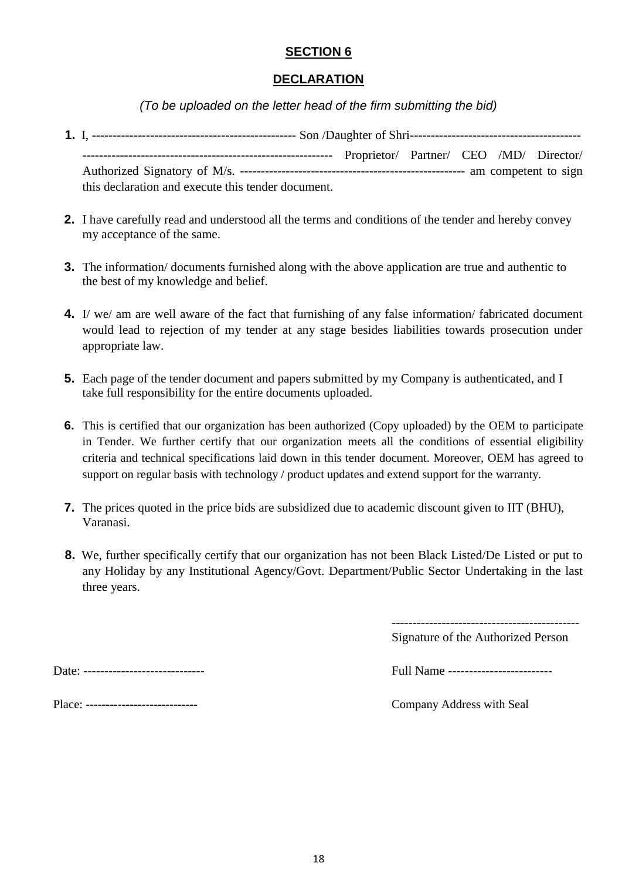## **SECTION 6**

## **DECLARATION**

*(To be uploaded on the letter head of the firm submitting the bid)*

|                                                    | Proprietor/ Partner/ CEO /MD/ Director/ |  |  |  |  |
|----------------------------------------------------|-----------------------------------------|--|--|--|--|
|                                                    |                                         |  |  |  |  |
| this declaration and execute this tender document. |                                         |  |  |  |  |

- **2.** I have carefully read and understood all the terms and conditions of the tender and hereby convey my acceptance of the same.
- **3.** The information/documents furnished along with the above application are true and authentic to the best of my knowledge and belief.
- **4.** I/ we/ am are well aware of the fact that furnishing of any false information/ fabricated document would lead to rejection of my tender at any stage besides liabilities towards prosecution under appropriate law.
- **5.** Each page of the tender document and papers submitted by my Company is authenticated, and I take full responsibility for the entire documents uploaded.
- **6.** This is certified that our organization has been authorized (Copy uploaded) by the OEM to participate in Tender. We further certify that our organization meets all the conditions of essential eligibility criteria and technical specifications laid down in this tender document. Moreover, OEM has agreed to support on regular basis with technology / product updates and extend support for the warranty.
- **7.** The prices quoted in the price bids are subsidized due to academic discount given to IIT (BHU), Varanasi.
- **8.** We, further specifically certify that our organization has not been Black Listed/De Listed or put to any Holiday by any Institutional Agency/Govt. Department/Public Sector Undertaking in the last three years.

--------------------------------------------- Signature of the Authorized Person

Date: ----------------------------- Full Name -------------------------

Place: ---------------------------- Company Address with Seal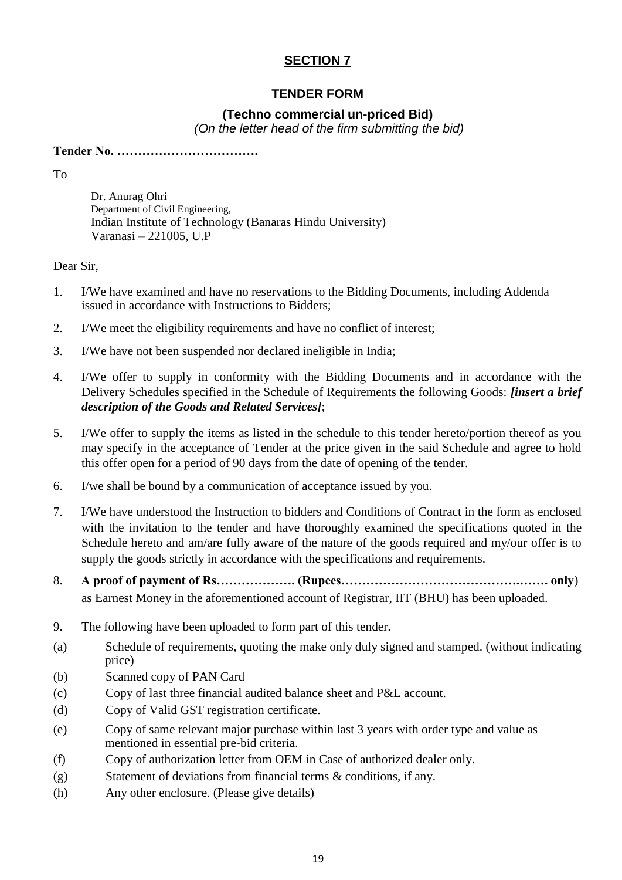## **SECTION 7**

## **TENDER FORM**

## **(Techno commercial un-priced Bid)**

*(On the letter head of the firm submitting the bid)*

**Tender No. …………………………….**

To

Dr. Anurag Ohri Department of Civil Engineering, Indian Institute of Technology (Banaras Hindu University) Varanasi – 221005, U.P

Dear Sir,

- 1. I/We have examined and have no reservations to the Bidding Documents, including Addenda issued in accordance with Instructions to Bidders;
- 2. I/We meet the eligibility requirements and have no conflict of interest;
- 3. I/We have not been suspended nor declared ineligible in India;
- 4. I/We offer to supply in conformity with the Bidding Documents and in accordance with the Delivery Schedules specified in the Schedule of Requirements the following Goods: *[insert a brief description of the Goods and Related Services]*;
- 5. I/We offer to supply the items as listed in the schedule to this tender hereto/portion thereof as you may specify in the acceptance of Tender at the price given in the said Schedule and agree to hold this offer open for a period of 90 days from the date of opening of the tender.
- 6. I/we shall be bound by a communication of acceptance issued by you.
- 7. I/We have understood the Instruction to bidders and Conditions of Contract in the form as enclosed with the invitation to the tender and have thoroughly examined the specifications quoted in the Schedule hereto and am/are fully aware of the nature of the goods required and my/our offer is to supply the goods strictly in accordance with the specifications and requirements.
- 8. **A proof of payment of Rs………………. (Rupees…………………………………….……. only**) as Earnest Money in the aforementioned account of Registrar, IIT (BHU) has been uploaded.
- 9. The following have been uploaded to form part of this tender.
- (a) Schedule of requirements, quoting the make only duly signed and stamped. (without indicating price)
- (b) Scanned copy of PAN Card
- (c) Copy of last three financial audited balance sheet and P&L account.
- (d) Copy of Valid GST registration certificate.
- (e) Copy of same relevant major purchase within last 3 years with order type and value as mentioned in essential pre-bid criteria.
- (f) Copy of authorization letter from OEM in Case of authorized dealer only.
- (g) Statement of deviations from financial terms & conditions, if any.
- (h) Any other enclosure. (Please give details)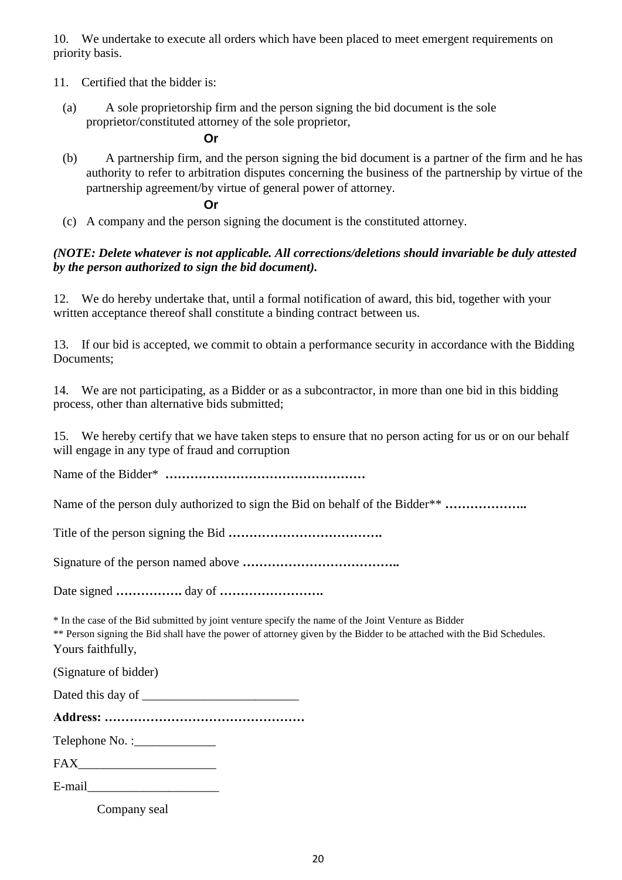10. We undertake to execute all orders which have been placed to meet emergent requirements on priority basis.

- 11. Certified that the bidder is:
	- (a) A sole proprietorship firm and the person signing the bid document is the sole proprietor/constituted attorney of the sole proprietor,

## **Or**

(b) A partnership firm, and the person signing the bid document is a partner of the firm and he has authority to refer to arbitration disputes concerning the business of the partnership by virtue of the partnership agreement/by virtue of general power of attorney.

## **Or**

(c) A company and the person signing the document is the constituted attorney.

## *(NOTE: Delete whatever is not applicable. All corrections/deletions should invariable be duly attested by the person authorized to sign the bid document).*

12. We do hereby undertake that, until a formal notification of award, this bid, together with your written acceptance thereof shall constitute a binding contract between us.

13. If our bid is accepted, we commit to obtain a performance security in accordance with the Bidding Documents;

14. We are not participating, as a Bidder or as a subcontractor, in more than one bid in this bidding process, other than alternative bids submitted;

15. We hereby certify that we have taken steps to ensure that no person acting for us or on our behalf will engage in any type of fraud and corruption

Name of the Bidder\* **…………………………………………**

Name of the person duly authorized to sign the Bid on behalf of the Bidder\*\* .......................

Title of the person signing the Bid **……………………………….**

Signature of the person named above **………………………………..**

Date signed **…………….** day of **…………………….**

\* In the case of the Bid submitted by joint venture specify the name of the Joint Venture as Bidder

\*\* Person signing the Bid shall have the power of attorney given by the Bidder to be attached with the Bid Schedules. Yours faithfully,

(Signature of bidder)

| Dated this day of |  |
|-------------------|--|
|-------------------|--|

**Address: …………………………………………**

Telephone No. :

 $FAX$ 

E-mail

Company seal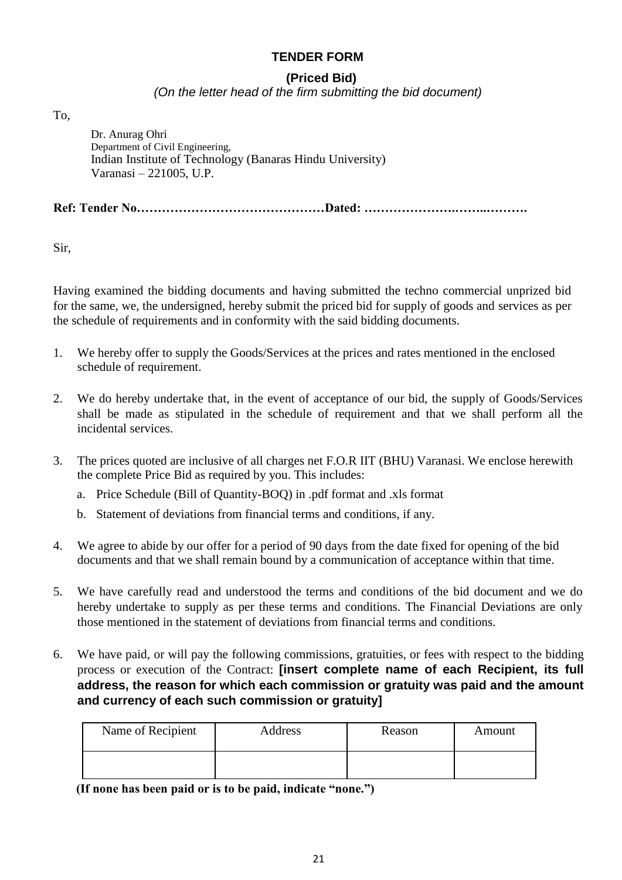## **TENDER FORM**

## **(Priced Bid)**

## *(On the letter head of the firm submitting the bid document)*

To,

Dr. Anurag Ohri Department of Civil Engineering, Indian Institute of Technology (Banaras Hindu University) Varanasi – 221005, U.P.

**Ref: Tender No………………………………………Dated: ………………….……..……….**

Sir,

Having examined the bidding documents and having submitted the techno commercial unprized bid for the same, we, the undersigned, hereby submit the priced bid for supply of goods and services as per the schedule of requirements and in conformity with the said bidding documents.

- 1. We hereby offer to supply the Goods/Services at the prices and rates mentioned in the enclosed schedule of requirement.
- 2. We do hereby undertake that, in the event of acceptance of our bid, the supply of Goods/Services shall be made as stipulated in the schedule of requirement and that we shall perform all the incidental services.
- 3. The prices quoted are inclusive of all charges net F.O.R IIT (BHU) Varanasi. We enclose herewith the complete Price Bid as required by you. This includes:
	- a. Price Schedule (Bill of Quantity-BOQ) in .pdf format and .xls format
	- b. Statement of deviations from financial terms and conditions, if any.
- 4. We agree to abide by our offer for a period of 90 days from the date fixed for opening of the bid documents and that we shall remain bound by a communication of acceptance within that time.
- 5. We have carefully read and understood the terms and conditions of the bid document and we do hereby undertake to supply as per these terms and conditions. The Financial Deviations are only those mentioned in the statement of deviations from financial terms and conditions.
- 6. We have paid, or will pay the following commissions, gratuities, or fees with respect to the bidding process or execution of the Contract: **[insert complete name of each Recipient, its full address, the reason for which each commission or gratuity was paid and the amount and currency of each such commission or gratuity]**

| Name of Recipient | Address | Reason | Amount |
|-------------------|---------|--------|--------|
|                   |         |        |        |

**(If none has been paid or is to be paid, indicate "none.")**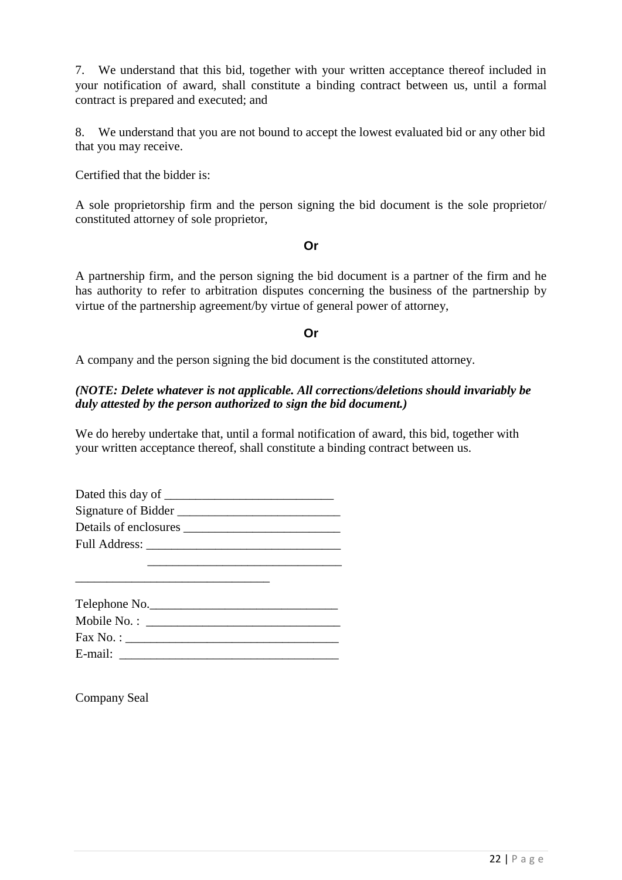7. We understand that this bid, together with your written acceptance thereof included in your notification of award, shall constitute a binding contract between us, until a formal contract is prepared and executed; and

8. We understand that you are not bound to accept the lowest evaluated bid or any other bid that you may receive.

Certified that the bidder is:

A sole proprietorship firm and the person signing the bid document is the sole proprietor/ constituted attorney of sole proprietor,

## **Or**

A partnership firm, and the person signing the bid document is a partner of the firm and he has authority to refer to arbitration disputes concerning the business of the partnership by virtue of the partnership agreement/by virtue of general power of attorney,

## **Or**

A company and the person signing the bid document is the constituted attorney.

## *(NOTE: Delete whatever is not applicable. All corrections/deletions should invariably be duly attested by the person authorized to sign the bid document.)*

We do hereby undertake that, until a formal notification of award, this bid, together with your written acceptance thereof, shall constitute a binding contract between us.

| Dated this day of ___ |  |
|-----------------------|--|
| Signature of Bidder   |  |
| Details of enclosures |  |
| Full Address:         |  |
|                       |  |

| Telephone No.                |
|------------------------------|
| Mobile No. : $\qquad \qquad$ |
| $\text{Fax No.}:$            |
| E-mail:                      |

\_\_\_\_\_\_\_\_\_\_\_\_\_\_\_\_\_\_\_\_\_\_\_\_\_\_\_\_\_\_\_

Company Seal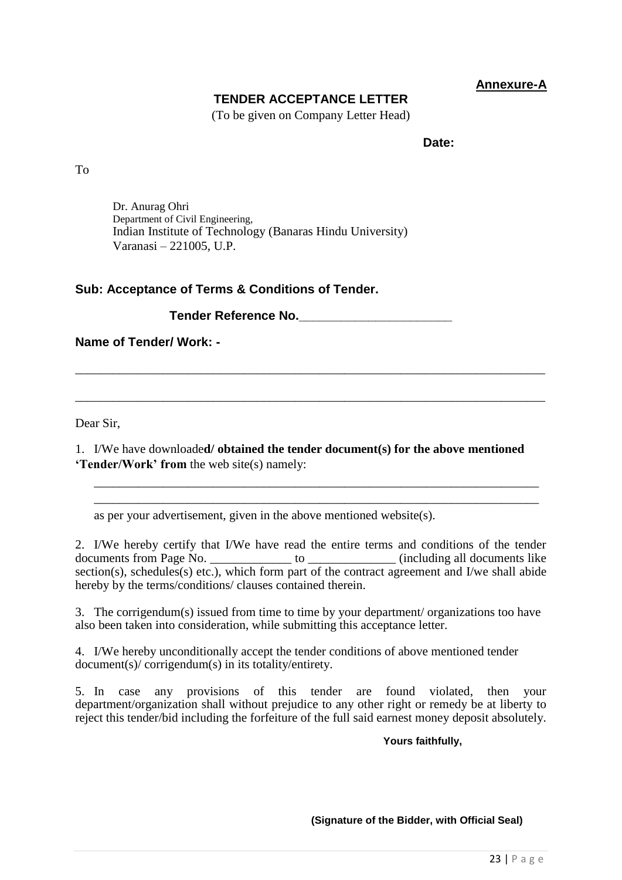## **Annexure-A**

## **TENDER ACCEPTANCE LETTER**

(To be given on Company Letter Head)

**Date:**

To

Dr. Anurag Ohri Department of Civil Engineering, Indian Institute of Technology (Banaras Hindu University) Varanasi – 221005, U.P.

## **Sub: Acceptance of Terms & Conditions of Tender.**

**Tender Reference No.\_\_\_\_\_\_\_\_\_\_\_\_\_\_\_\_\_\_\_\_\_\_**

**Name of Tender/ Work: -**

Dear Sir,

1. I/We have downloade**d/ obtained the tender document(s) for the above mentioned 'Tender/Work' from** the web site(s) namely:

\_\_\_\_\_\_\_\_\_\_\_\_\_\_\_\_\_\_\_\_\_\_\_\_\_\_\_\_\_\_\_\_\_\_\_\_\_\_\_\_\_\_\_\_\_\_\_\_\_\_\_\_\_\_\_\_\_\_\_\_\_\_\_\_\_\_\_\_\_\_\_ \_\_\_\_\_\_\_\_\_\_\_\_\_\_\_\_\_\_\_\_\_\_\_\_\_\_\_\_\_\_\_\_\_\_\_\_\_\_\_\_\_\_\_\_\_\_\_\_\_\_\_\_\_\_\_\_\_\_\_\_\_\_\_\_\_\_\_\_\_\_\_

\_\_\_\_\_\_\_\_\_\_\_\_\_\_\_\_\_\_\_\_\_\_\_\_\_\_\_\_\_\_\_\_\_\_\_\_\_\_\_\_\_\_\_\_\_\_\_\_\_\_\_\_\_\_\_\_\_\_\_\_\_\_\_\_\_\_\_\_\_\_\_\_\_\_\_

\_\_\_\_\_\_\_\_\_\_\_\_\_\_\_\_\_\_\_\_\_\_\_\_\_\_\_\_\_\_\_\_\_\_\_\_\_\_\_\_\_\_\_\_\_\_\_\_\_\_\_\_\_\_\_\_\_\_\_\_\_\_\_\_\_\_\_\_\_\_\_\_\_\_\_

as per your advertisement, given in the above mentioned website(s).

2. I/We hereby certify that I/We have read the entire terms and conditions of the tender documents from Page No. \_\_\_\_\_\_\_\_\_\_\_\_\_ to \_\_\_\_\_\_\_\_\_\_\_\_\_\_ (including all documents like section(s), schedules(s) etc.), which form part of the contract agreement and I/we shall abide hereby by the terms/conditions/ clauses contained therein.

3. The corrigendum(s) issued from time to time by your department/ organizations too have also been taken into consideration, while submitting this acceptance letter.

4. I/We hereby unconditionally accept the tender conditions of above mentioned tender document(s)/ corrigendum(s) in its totality/entirety.

5. In case any provisions of this tender are found violated, then your department/organization shall without prejudice to any other right or remedy be at liberty to reject this tender/bid including the forfeiture of the full said earnest money deposit absolutely.

**Yours faithfully,**

**(Signature of the Bidder, with Official Seal)**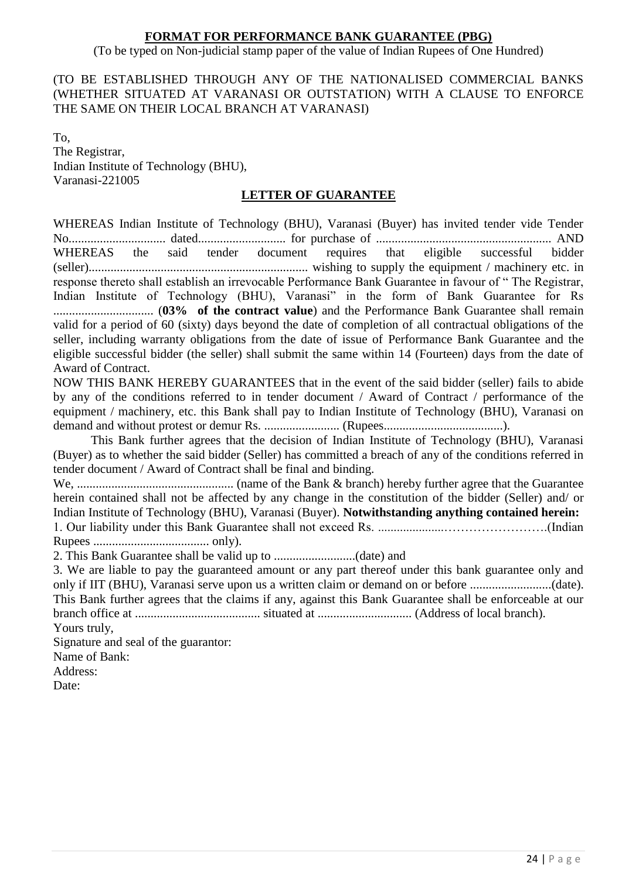## **FORMAT FOR PERFORMANCE BANK GUARANTEE (PBG)**

(To be typed on Non-judicial stamp paper of the value of Indian Rupees of One Hundred)

## (TO BE ESTABLISHED THROUGH ANY OF THE NATIONALISED COMMERCIAL BANKS (WHETHER SITUATED AT VARANASI OR OUTSTATION) WITH A CLAUSE TO ENFORCE THE SAME ON THEIR LOCAL BRANCH AT VARANASI)

To, The Registrar, Indian Institute of Technology (BHU), Varanasi-221005

## **LETTER OF GUARANTEE**

WHEREAS Indian Institute of Technology (BHU), Varanasi (Buyer) has invited tender vide Tender No............................... dated............................ for purchase of ........................................................ AND WHEREAS the said tender document requires that eligible successful bidder (seller)...................................................................... wishing to supply the equipment / machinery etc. in response thereto shall establish an irrevocable Performance Bank Guarantee in favour of " The Registrar, Indian Institute of Technology (BHU), Varanasi" in the form of Bank Guarantee for Rs ................................ (**03% of the contract value**) and the Performance Bank Guarantee shall remain valid for a period of 60 (sixty) days beyond the date of completion of all contractual obligations of the seller, including warranty obligations from the date of issue of Performance Bank Guarantee and the eligible successful bidder (the seller) shall submit the same within 14 (Fourteen) days from the date of Award of Contract.

NOW THIS BANK HEREBY GUARANTEES that in the event of the said bidder (seller) fails to abide by any of the conditions referred to in tender document / Award of Contract / performance of the equipment / machinery, etc. this Bank shall pay to Indian Institute of Technology (BHU), Varanasi on demand and without protest or demur Rs. ........................ (Rupees......................................).

This Bank further agrees that the decision of Indian Institute of Technology (BHU), Varanasi (Buyer) as to whether the said bidder (Seller) has committed a breach of any of the conditions referred in tender document / Award of Contract shall be final and binding.

We, .................................................. (name of the Bank & branch) hereby further agree that the Guarantee herein contained shall not be affected by any change in the constitution of the bidder (Seller) and/ or Indian Institute of Technology (BHU), Varanasi (Buyer). **Notwithstanding anything contained herein:** 1. Our liability under this Bank Guarantee shall not exceed Rs. .....................…………………….(Indian Rupees ..................................... only).

2. This Bank Guarantee shall be valid up to ..........................(date) and

3. We are liable to pay the guaranteed amount or any part thereof under this bank guarantee only and only if IIT (BHU), Varanasi serve upon us a written claim or demand on or before ..........................(date). This Bank further agrees that the claims if any, against this Bank Guarantee shall be enforceable at our branch office at ........................................ situated at .............................. (Address of local branch).

Yours truly,

Signature and seal of the guarantor: Name of Bank: Address:

Date: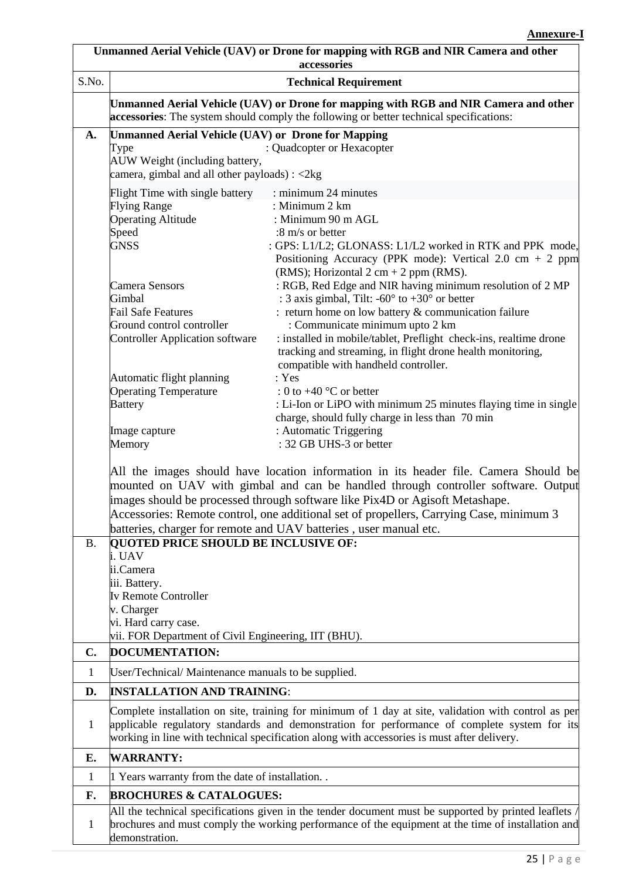|                | Unmanned Aerial Vehicle (UAV) or Drone for mapping with RGB and NIR Camera and other<br>accessories                                                                                                                                                                                                 |                                                                                                                                                                                                                                                                                                                                                                                                                                                                                |  |  |  |
|----------------|-----------------------------------------------------------------------------------------------------------------------------------------------------------------------------------------------------------------------------------------------------------------------------------------------------|--------------------------------------------------------------------------------------------------------------------------------------------------------------------------------------------------------------------------------------------------------------------------------------------------------------------------------------------------------------------------------------------------------------------------------------------------------------------------------|--|--|--|
| S.No.          |                                                                                                                                                                                                                                                                                                     | <b>Technical Requirement</b>                                                                                                                                                                                                                                                                                                                                                                                                                                                   |  |  |  |
|                | Unmanned Aerial Vehicle (UAV) or Drone for mapping with RGB and NIR Camera and other<br>accessories: The system should comply the following or better technical specifications:                                                                                                                     |                                                                                                                                                                                                                                                                                                                                                                                                                                                                                |  |  |  |
| A.             | Unmanned Aerial Vehicle (UAV) or Drone for Mapping<br>Type<br>AUW Weight (including battery,<br>camera, gimbal and all other payloads) : <2kg                                                                                                                                                       | : Quadcopter or Hexacopter                                                                                                                                                                                                                                                                                                                                                                                                                                                     |  |  |  |
|                | Flight Time with single battery<br><b>Flying Range</b><br><b>Operating Altitude</b><br>Speed<br><b>GNSS</b>                                                                                                                                                                                         | : minimum 24 minutes<br>: Minimum 2 km<br>: Minimum 90 m AGL<br>:8 m/s or better<br>: GPS: L1/L2; GLONASS: L1/L2 worked in RTK and PPK mode,<br>Positioning Accuracy (PPK mode): Vertical 2.0 cm $+$ 2 ppm<br>(RMS); Horizontal $2 \text{ cm} + 2 \text{ ppm}$ (RMS).                                                                                                                                                                                                          |  |  |  |
|                | <b>Camera Sensors</b><br>Gimbal<br><b>Fail Safe Features</b><br>Ground control controller<br><b>Controller Application software</b>                                                                                                                                                                 | : RGB, Red Edge and NIR having minimum resolution of 2 MP<br>: 3 axis gimbal, Tilt: -60 $\degree$ to +30 $\degree$ or better<br>: return home on low battery $&$ communication failure<br>: Communicate minimum upto 2 km<br>: installed in mobile/tablet, Preflight check-ins, realtime drone<br>tracking and streaming, in flight drone health monitoring,<br>compatible with handheld controller.                                                                           |  |  |  |
|                | Automatic flight planning<br><b>Operating Temperature</b><br><b>Battery</b>                                                                                                                                                                                                                         | : Yes<br>: 0 to $+40$ °C or better<br>: Li-Ion or LiPO with minimum 25 minutes flaying time in single<br>charge, should fully charge in less than 70 min                                                                                                                                                                                                                                                                                                                       |  |  |  |
|                | Image capture<br>Memory                                                                                                                                                                                                                                                                             | : Automatic Triggering<br>: 32 GB UHS-3 or better<br>All the images should have location information in its header file. Camera Should be<br>mounted on UAV with gimbal and can be handled through controller software. Output<br>images should be processed through software like Pix4D or Agisoft Metashape.<br>Accessories: Remote control, one additional set of propellers, Carrying Case, minimum 3<br>batteries, charger for remote and UAV batteries, user manual etc. |  |  |  |
| <b>B.</b>      | <b>QUOTED PRICE SHOULD BE INCLUSIVE OF:</b><br>i. UAV<br>ii.Camera<br>iii. Battery.<br>Iv Remote Controller<br>v. Charger<br>vi. Hard carry case.<br>vii. FOR Department of Civil Engineering, IIT (BHU).                                                                                           |                                                                                                                                                                                                                                                                                                                                                                                                                                                                                |  |  |  |
| $\mathbf{C}$ . | DOCUMENTATION:                                                                                                                                                                                                                                                                                      |                                                                                                                                                                                                                                                                                                                                                                                                                                                                                |  |  |  |
| 1              | User/Technical/Maintenance manuals to be supplied.                                                                                                                                                                                                                                                  |                                                                                                                                                                                                                                                                                                                                                                                                                                                                                |  |  |  |
| D.             | <b>INSTALLATION AND TRAINING:</b>                                                                                                                                                                                                                                                                   |                                                                                                                                                                                                                                                                                                                                                                                                                                                                                |  |  |  |
| 1              | Complete installation on site, training for minimum of 1 day at site, validation with control as per<br>applicable regulatory standards and demonstration for performance of complete system for its<br>working in line with technical specification along with accessories is must after delivery. |                                                                                                                                                                                                                                                                                                                                                                                                                                                                                |  |  |  |
| E.             | <b>WARRANTY:</b>                                                                                                                                                                                                                                                                                    |                                                                                                                                                                                                                                                                                                                                                                                                                                                                                |  |  |  |
| 1              | 1 Years warranty from the date of installation                                                                                                                                                                                                                                                      |                                                                                                                                                                                                                                                                                                                                                                                                                                                                                |  |  |  |
| F.             | <b>BROCHURES &amp; CATALOGUES:</b>                                                                                                                                                                                                                                                                  |                                                                                                                                                                                                                                                                                                                                                                                                                                                                                |  |  |  |
| 1              | demonstration.                                                                                                                                                                                                                                                                                      | All the technical specifications given in the tender document must be supported by printed leaflets /<br>brochures and must comply the working performance of the equipment at the time of installation and                                                                                                                                                                                                                                                                    |  |  |  |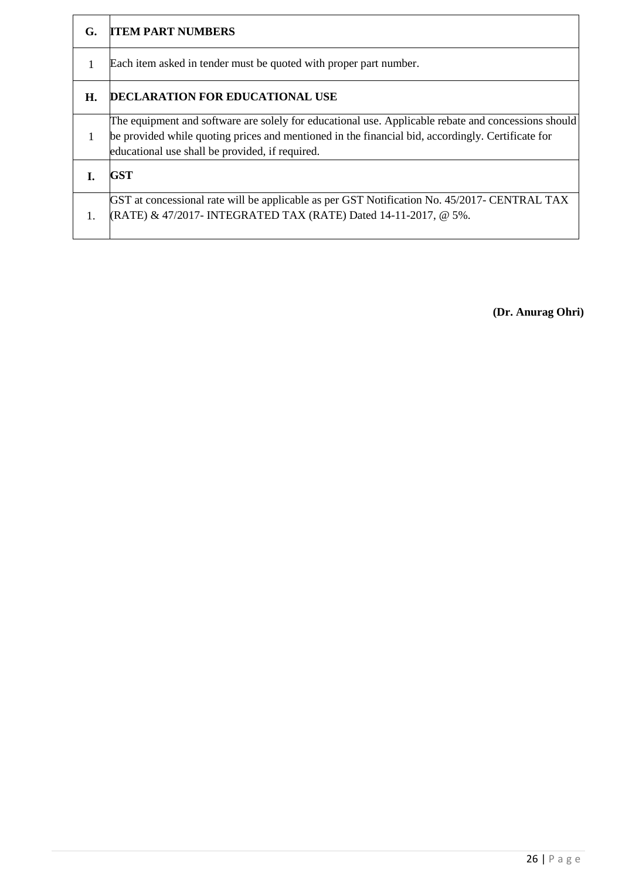| G. | <b>ITEM PART NUMBERS</b>                                                                                                                                                                                                                                    |
|----|-------------------------------------------------------------------------------------------------------------------------------------------------------------------------------------------------------------------------------------------------------------|
| 1  | Each item asked in tender must be quoted with proper part number.                                                                                                                                                                                           |
| Н. | <b>DECLARATION FOR EDUCATIONAL USE</b>                                                                                                                                                                                                                      |
|    | The equipment and software are solely for educational use. Applicable rebate and concessions should<br>be provided while quoting prices and mentioned in the financial bid, accordingly. Certificate for<br>educational use shall be provided, if required. |
|    | <b>GST</b>                                                                                                                                                                                                                                                  |
| 1. | GST at concessional rate will be applicable as per GST Notification No. 45/2017- CENTRAL TAX<br>$(RATE)$ & 47/2017- INTEGRATED TAX (RATE) Dated 14-11-2017, @ 5%.                                                                                           |

**(Dr. Anurag Ohri)**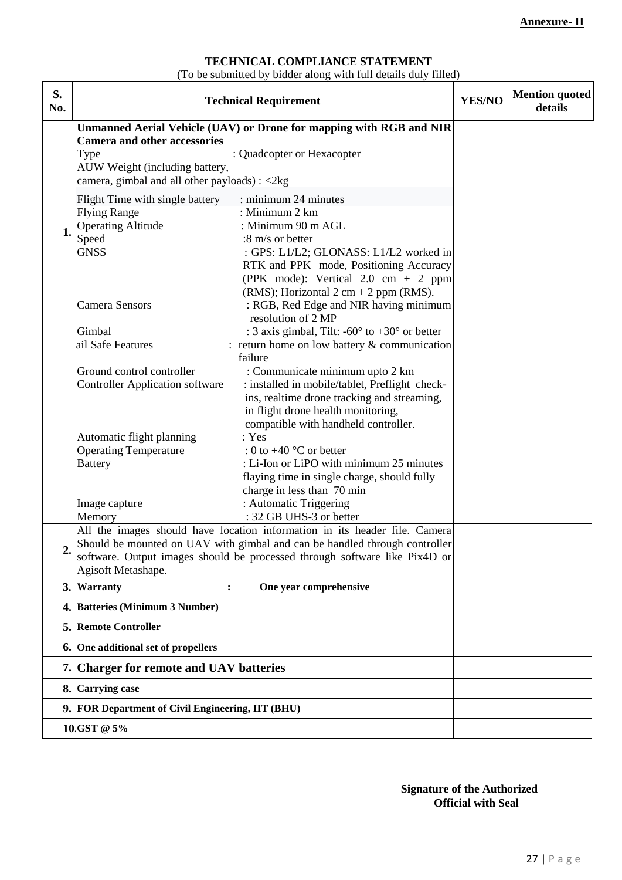## **TECHNICAL COMPLIANCE STATEMENT**

(To be submitted by bidder along with full details duly filled)

| S.<br>No. | <b>Technical Requirement</b>                                                                                                                             |                                                                 |  | <b>Mention quoted</b><br>details |
|-----------|----------------------------------------------------------------------------------------------------------------------------------------------------------|-----------------------------------------------------------------|--|----------------------------------|
|           | Unmanned Aerial Vehicle (UAV) or Drone for mapping with RGB and NIR                                                                                      |                                                                 |  |                                  |
|           | <b>Camera and other accessories</b>                                                                                                                      |                                                                 |  |                                  |
|           | Type                                                                                                                                                     | : Quadcopter or Hexacopter                                      |  |                                  |
|           | AUW Weight (including battery,<br>camera, gimbal and all other payloads) : <2kg                                                                          |                                                                 |  |                                  |
|           | Flight Time with single battery                                                                                                                          | : minimum 24 minutes                                            |  |                                  |
|           | <b>Flying Range</b>                                                                                                                                      | : Minimum 2 km                                                  |  |                                  |
| 1.        | <b>Operating Altitude</b>                                                                                                                                | : Minimum 90 m AGL                                              |  |                                  |
|           | Speed                                                                                                                                                    | :8 m/s or better                                                |  |                                  |
|           | <b>GNSS</b>                                                                                                                                              | : GPS: L1/L2; GLONASS: L1/L2 worked in                          |  |                                  |
|           |                                                                                                                                                          | RTK and PPK mode, Positioning Accuracy                          |  |                                  |
|           |                                                                                                                                                          | (PPK mode): Vertical $2.0 \text{ cm} + 2 \text{ ppm}$           |  |                                  |
|           |                                                                                                                                                          | (RMS); Horizontal $2 \text{ cm} + 2 \text{ ppm}$ (RMS).         |  |                                  |
|           | <b>Camera Sensors</b>                                                                                                                                    | : RGB, Red Edge and NIR having minimum                          |  |                                  |
|           |                                                                                                                                                          | resolution of 2 MP                                              |  |                                  |
|           | Gimbal<br>ail Safe Features                                                                                                                              | : 3 axis gimbal, Tilt: -60 $\degree$ to +30 $\degree$ or better |  |                                  |
|           |                                                                                                                                                          | : return home on low battery $&$ communication<br>failure       |  |                                  |
|           | Ground control controller                                                                                                                                | : Communicate minimum upto 2 km                                 |  |                                  |
|           | <b>Controller Application software</b>                                                                                                                   | : installed in mobile/tablet, Preflight check-                  |  |                                  |
|           |                                                                                                                                                          | ins, realtime drone tracking and streaming,                     |  |                                  |
|           |                                                                                                                                                          | in flight drone health monitoring,                              |  |                                  |
|           |                                                                                                                                                          | compatible with handheld controller.                            |  |                                  |
|           | Automatic flight planning                                                                                                                                | : Yes                                                           |  |                                  |
|           | <b>Operating Temperature</b>                                                                                                                             | : 0 to $+40$ °C or better                                       |  |                                  |
|           | <b>Battery</b>                                                                                                                                           | : Li-Ion or LiPO with minimum 25 minutes                        |  |                                  |
|           |                                                                                                                                                          | flaying time in single charge, should fully                     |  |                                  |
|           |                                                                                                                                                          | charge in less than 70 min                                      |  |                                  |
|           | Image capture                                                                                                                                            | : Automatic Triggering                                          |  |                                  |
|           | Memory                                                                                                                                                   | : 32 GB UHS-3 or better                                         |  |                                  |
|           | All the images should have location information in its header file. Camera                                                                               |                                                                 |  |                                  |
| C         | Should be mounted on UAV with gimbal and can be handled through controller<br>software. Output images should be processed through software like Pix4D or |                                                                 |  |                                  |
|           | Agisoft Metashape.                                                                                                                                       |                                                                 |  |                                  |
|           | 3. Warranty<br>:                                                                                                                                         | One year comprehensive                                          |  |                                  |
|           | 4. Batteries (Minimum 3 Number)                                                                                                                          |                                                                 |  |                                  |
|           | <b>5. Remote Controller</b>                                                                                                                              |                                                                 |  |                                  |
|           | 6. One additional set of propellers                                                                                                                      |                                                                 |  |                                  |
|           | 7. Charger for remote and UAV batteries                                                                                                                  |                                                                 |  |                                  |
|           | 8. Carrying case                                                                                                                                         |                                                                 |  |                                  |
|           | 9. FOR Department of Civil Engineering, IIT (BHU)                                                                                                        |                                                                 |  |                                  |
|           | 10 GST @ 5%                                                                                                                                              |                                                                 |  |                                  |

 **Signature of the Authorized Official with Seal**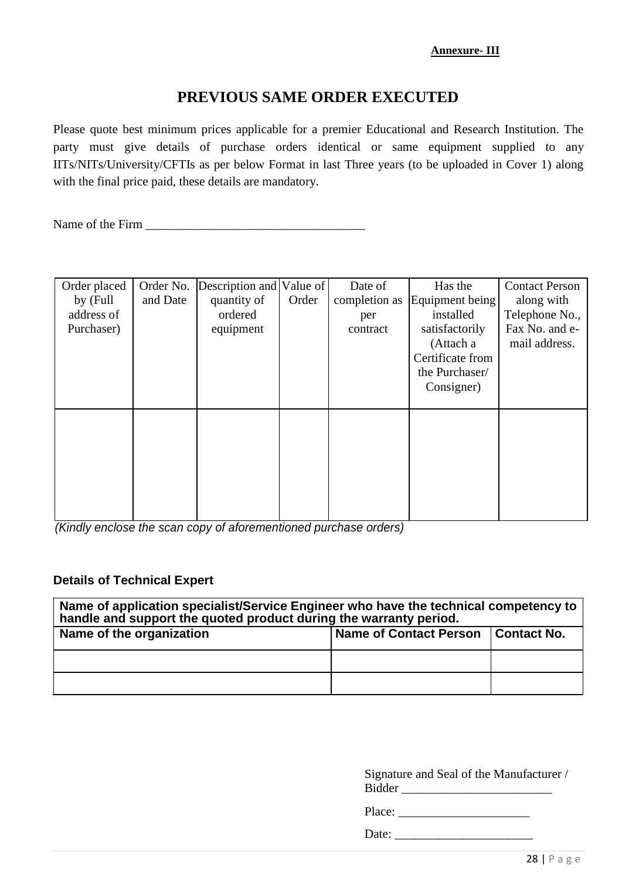# **PREVIOUS SAME ORDER EXECUTED**

Please quote best minimum prices applicable for a premier Educational and Research Institution. The party must give details of purchase orders identical or same equipment supplied to any IITs/NITs/University/CFTIs as per below Format in last Three years (to be uploaded in Cover 1) along with the final price paid, these details are mandatory.

Name of the Firm  $\blacksquare$ 

| Order placed | Order No. | Description and Value of |       | Date of       | Has the          | <b>Contact Person</b> |
|--------------|-----------|--------------------------|-------|---------------|------------------|-----------------------|
| by (Full     | and Date  | quantity of              | Order | completion as | Equipment being  | along with            |
| address of   |           | ordered                  |       | per           | installed        | Telephone No.,        |
| Purchaser)   |           | equipment                |       | contract      | satisfactorily   | Fax No. and e-        |
|              |           |                          |       |               | (Attach a        | mail address.         |
|              |           |                          |       |               | Certificate from |                       |
|              |           |                          |       |               | the Purchaser/   |                       |
|              |           |                          |       |               | Consigner)       |                       |
|              |           |                          |       |               |                  |                       |
|              |           |                          |       |               |                  |                       |
|              |           |                          |       |               |                  |                       |
|              |           |                          |       |               |                  |                       |
|              |           |                          |       |               |                  |                       |
|              |           |                          |       |               |                  |                       |
|              |           |                          |       |               |                  |                       |
|              |           |                          |       |               |                  |                       |

*(Kindly enclose the scan copy of aforementioned purchase orders)*

## **Details of Technical Expert**

| Name of application specialist/Service Engineer who have the technical competency to<br>handle and support the quoted product during the warranty period. |                               |             |  |  |  |  |
|-----------------------------------------------------------------------------------------------------------------------------------------------------------|-------------------------------|-------------|--|--|--|--|
| Name of the organization                                                                                                                                  | <b>Name of Contact Person</b> | Contact No. |  |  |  |  |
|                                                                                                                                                           |                               |             |  |  |  |  |
|                                                                                                                                                           |                               |             |  |  |  |  |

Signature and Seal of the Manufacturer / Bidder \_\_\_\_\_\_\_\_\_\_\_\_\_\_\_\_\_\_\_\_\_\_\_\_

Place: \_\_\_\_\_\_\_\_\_\_\_\_\_\_\_\_\_\_\_\_\_

Date: \_\_\_\_\_\_\_\_\_\_\_\_\_\_\_\_\_\_\_\_\_\_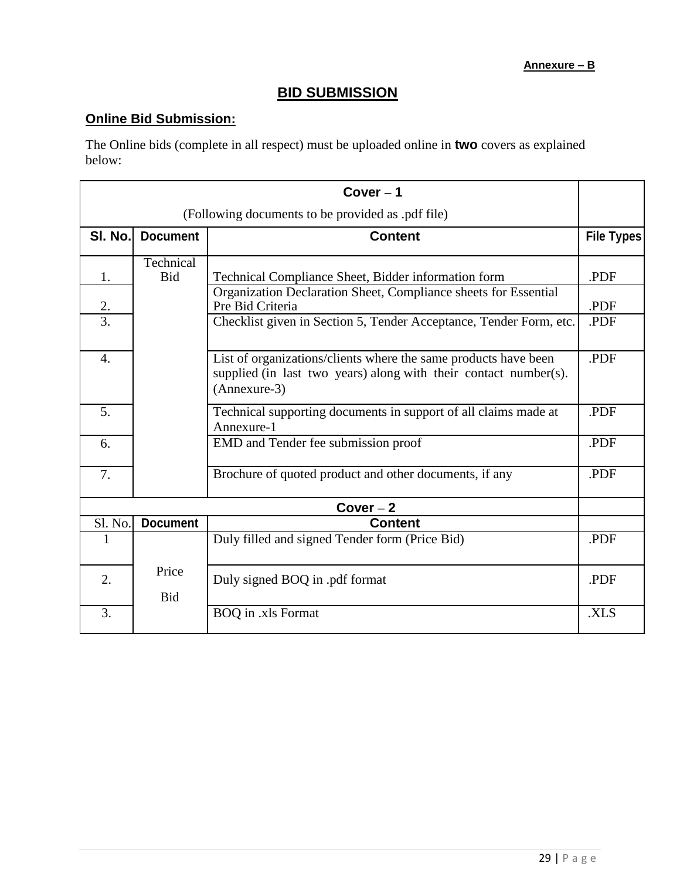## **BID SUBMISSION**

# **Online Bid Submission:**

The Online bids (complete in all respect) must be uploaded online in **two** covers as explained below:

| Cover $-1$                                        |                         |                                                                                                                                                     |                   |  |  |  |  |
|---------------------------------------------------|-------------------------|-----------------------------------------------------------------------------------------------------------------------------------------------------|-------------------|--|--|--|--|
| (Following documents to be provided as .pdf file) |                         |                                                                                                                                                     |                   |  |  |  |  |
| SI. No.                                           | <b>Document</b>         | <b>Content</b>                                                                                                                                      | <b>File Types</b> |  |  |  |  |
| 1.                                                | Technical<br><b>Bid</b> | Technical Compliance Sheet, Bidder information form                                                                                                 | .PDF              |  |  |  |  |
| 2.                                                |                         | Organization Declaration Sheet, Compliance sheets for Essential<br>Pre Bid Criteria                                                                 | .PDF              |  |  |  |  |
| $\overline{3}$ .                                  |                         | Checklist given in Section 5, Tender Acceptance, Tender Form, etc.                                                                                  | .PDF              |  |  |  |  |
| 4.                                                |                         | List of organizations/clients where the same products have been<br>supplied (in last two years) along with their contact number(s).<br>(Annexure-3) | .PDF              |  |  |  |  |
| 5.                                                |                         | Technical supporting documents in support of all claims made at<br>Annexure-1                                                                       | .PDF              |  |  |  |  |
| 6.                                                |                         | EMD and Tender fee submission proof                                                                                                                 | .PDF              |  |  |  |  |
| 7.                                                |                         | Brochure of quoted product and other documents, if any                                                                                              | .PDF              |  |  |  |  |
|                                                   | $Cover-2$               |                                                                                                                                                     |                   |  |  |  |  |
| Sl. No.                                           | <b>Document</b>         | <b>Content</b>                                                                                                                                      |                   |  |  |  |  |
| 1                                                 |                         | Duly filled and signed Tender form (Price Bid)                                                                                                      | .PDF              |  |  |  |  |
| 2.                                                | Price<br><b>Bid</b>     | Duly signed BOQ in .pdf format                                                                                                                      | .PDF              |  |  |  |  |
| $\overline{3}$ .                                  |                         | <b>BOQ</b> in .xls Format                                                                                                                           | .XLS              |  |  |  |  |